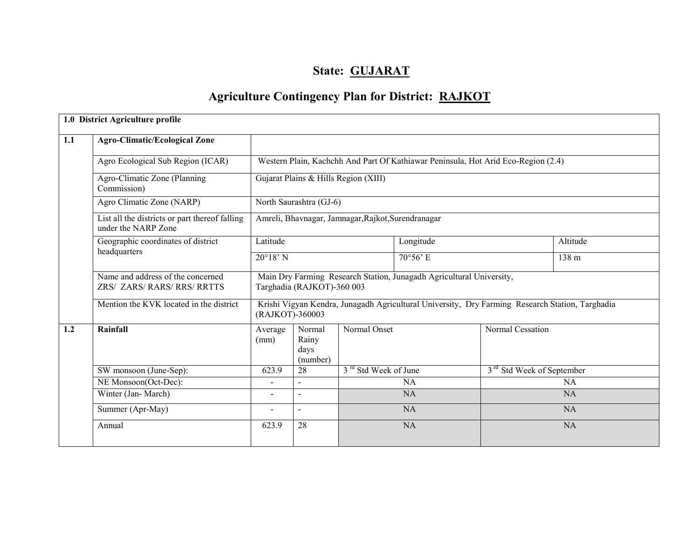# State: GUJARAT

# Agriculture Contingency Plan for District: RAJKOT

|     | 1.0 District Agriculture profile                                      |                   |                                                                                                                    |                                                    |                                                                                   |                                       |           |  |  |  |  |
|-----|-----------------------------------------------------------------------|-------------------|--------------------------------------------------------------------------------------------------------------------|----------------------------------------------------|-----------------------------------------------------------------------------------|---------------------------------------|-----------|--|--|--|--|
| 1.1 | <b>Agro-Climatic/Ecological Zone</b>                                  |                   |                                                                                                                    |                                                    |                                                                                   |                                       |           |  |  |  |  |
|     | Agro Ecological Sub Region (ICAR)                                     |                   |                                                                                                                    |                                                    | Western Plain, Kachchh And Part Of Kathiawar Peninsula, Hot Arid Eco-Region (2.4) |                                       |           |  |  |  |  |
|     | Agro-Climatic Zone (Planning)<br>Commission)                          |                   |                                                                                                                    | Gujarat Plains & Hills Region (XIII)               |                                                                                   |                                       |           |  |  |  |  |
|     | Agro Climatic Zone (NARP)                                             |                   | North Saurashtra (GJ-6)                                                                                            |                                                    |                                                                                   |                                       |           |  |  |  |  |
|     | List all the districts or part thereof falling<br>under the NARP Zone |                   |                                                                                                                    | Amreli, Bhavnagar, Jamnagar, Rajkot, Surendranagar |                                                                                   |                                       |           |  |  |  |  |
|     | Geographic coordinates of district                                    | Latitude          |                                                                                                                    |                                                    | Longitude                                                                         |                                       | Altitude  |  |  |  |  |
|     | headquarters                                                          | $20^{\circ}18'$ N |                                                                                                                    |                                                    | 70°56' E                                                                          |                                       | 138 m     |  |  |  |  |
|     | Name and address of the concerned<br>ZRS/ ZARS/ RARS/ RRS/ RRTTS      |                   | Main Dry Farming Research Station, Junagadh Agricultural University,<br>Targhadia (RAJKOT)-360 003                 |                                                    |                                                                                   |                                       |           |  |  |  |  |
|     | Mention the KVK located in the district                               |                   | Krishi Vigyan Kendra, Junagadh Agricultural University, Dry Farming Research Station, Targhadia<br>(RAJKOT)-360003 |                                                    |                                                                                   |                                       |           |  |  |  |  |
| 1.2 | Rainfall                                                              | Average<br>(mm)   | Normal<br>Rainy<br>days<br>(number)                                                                                | Normal Onset                                       |                                                                                   | Normal Cessation                      |           |  |  |  |  |
|     | SW monsoon (June-Sep):                                                | 623.9             | 28                                                                                                                 | 3 <sup>rd</sup> Std Week of June                   |                                                                                   | 3 <sup>rd</sup> Std Week of September |           |  |  |  |  |
|     | NE Monsoon(Oct-Dec):                                                  | $\blacksquare$    | $\blacksquare$                                                                                                     |                                                    | <b>NA</b>                                                                         |                                       | <b>NA</b> |  |  |  |  |
|     | Winter (Jan-March)                                                    | $\overline{a}$    | $\sim$                                                                                                             |                                                    | <b>NA</b>                                                                         |                                       | <b>NA</b> |  |  |  |  |
|     | Summer (Apr-May)                                                      | $\blacksquare$    | $\blacksquare$                                                                                                     |                                                    | <b>NA</b>                                                                         |                                       | <b>NA</b> |  |  |  |  |
|     | Annual                                                                | 623.9             | 28                                                                                                                 |                                                    | <b>NA</b>                                                                         |                                       | <b>NA</b> |  |  |  |  |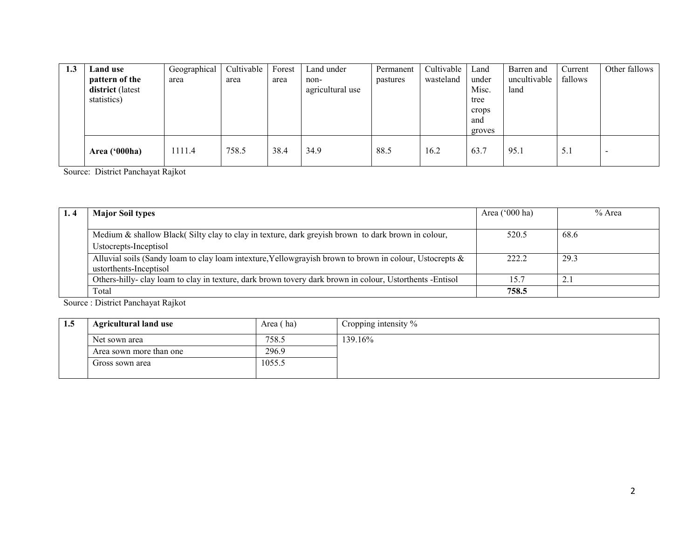| 1.3 | Land use         | Geographical | Cultivable | Forest | Land under       | Permanent | Cultivable | Land   | Barren and   | Current | Other fallows |
|-----|------------------|--------------|------------|--------|------------------|-----------|------------|--------|--------------|---------|---------------|
|     | pattern of the   | area         | area       | area   | non-             | pastures  | wasteland  | under  | uncultivable | fallows |               |
|     | district (latest |              |            |        | agricultural use |           |            | Misc.  | land         |         |               |
|     | statistics)      |              |            |        |                  |           |            | tree   |              |         |               |
|     |                  |              |            |        |                  |           |            | crops  |              |         |               |
|     |                  |              |            |        |                  |           |            | and    |              |         |               |
|     |                  |              |            |        |                  |           |            | groves |              |         |               |
|     | Area ('000ha)    | 1111.4       | 758.5      | 38.4   | 34.9             | 88.5      | 16.2       | 63.7   | 95.1         | 5.1     | -             |
|     |                  |              |            |        |                  |           |            |        |              |         |               |

Source: District Panchayat Rajkot

| 1.4 | <b>Major Soil types</b>                                                                                    | Area $('000 ha)$ | % Area |
|-----|------------------------------------------------------------------------------------------------------------|------------------|--------|
|     |                                                                                                            |                  |        |
|     | Medium & shallow Black (Silty clay to clay in texture, dark greyish brown to dark brown in colour,         | 520.5            | 68.6   |
|     | Ustocrepts-Inceptisol                                                                                      |                  |        |
|     | Alluvial soils (Sandy loam to clay loam intexture, Yellowgrayish brown to brown in colour, Ustocrepts $\&$ | 222.2            | 29.3   |
|     | ustorthents-Inceptisol                                                                                     |                  |        |
|     | Others-hilly-clay loam to clay in texture, dark brown tovery dark brown in colour, Ustorthents -Entisol    | 15.7             | 2.1    |
|     | Total                                                                                                      | 758.5            |        |

Source : District Panchayat Rajkot

| 1.5 | <b>Agricultural land use</b> | Area (ha) | Cropping intensity % |
|-----|------------------------------|-----------|----------------------|
|     | Net sown area                | 758.5     | 139.16%              |
|     | Area sown more than one      | 296.9     |                      |
|     | Gross sown area              | 1055.5    |                      |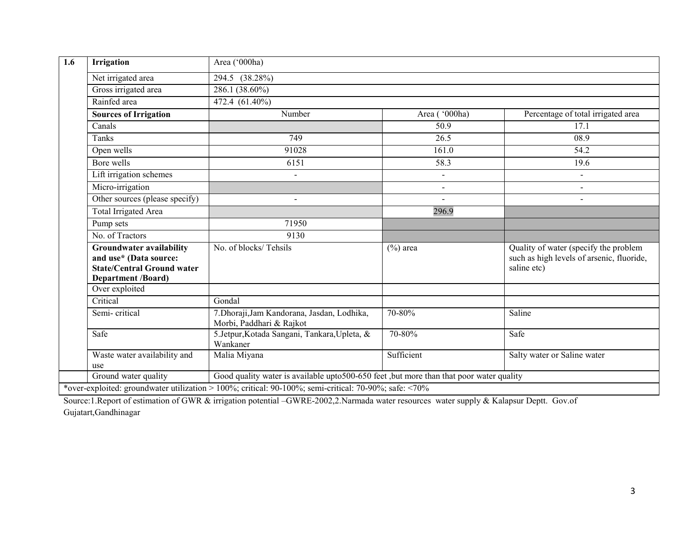| 1.6 | Irrigation                                                                                                                  | Area ('000ha)                                                                                         |                |                                                                                                   |  |  |  |  |
|-----|-----------------------------------------------------------------------------------------------------------------------------|-------------------------------------------------------------------------------------------------------|----------------|---------------------------------------------------------------------------------------------------|--|--|--|--|
|     | Net irrigated area                                                                                                          | $\overline{294.5}$ (38.28%)                                                                           |                |                                                                                                   |  |  |  |  |
|     | Gross irrigated area                                                                                                        | 286.1 (38.60%)                                                                                        |                |                                                                                                   |  |  |  |  |
|     | Rainfed area                                                                                                                | 472.4 (61.40%)                                                                                        |                |                                                                                                   |  |  |  |  |
|     | <b>Sources of Irrigation</b>                                                                                                | Number                                                                                                | Area ('000ha)  | Percentage of total irrigated area                                                                |  |  |  |  |
|     | Canals                                                                                                                      |                                                                                                       | 50.9           | 17.1                                                                                              |  |  |  |  |
|     | Tanks                                                                                                                       | 749                                                                                                   | 26.5           | 08.9                                                                                              |  |  |  |  |
|     | Open wells                                                                                                                  | 91028                                                                                                 | 161.0          | 54.2                                                                                              |  |  |  |  |
|     | Bore wells                                                                                                                  | 6151                                                                                                  | 58.3           | 19.6                                                                                              |  |  |  |  |
|     | Lift irrigation schemes                                                                                                     | $\blacksquare$                                                                                        | $\blacksquare$ | $\blacksquare$                                                                                    |  |  |  |  |
|     | Micro-irrigation                                                                                                            |                                                                                                       |                |                                                                                                   |  |  |  |  |
|     | Other sources (please specify)                                                                                              | $\overline{a}$                                                                                        |                | $\overline{a}$                                                                                    |  |  |  |  |
|     | <b>Total Irrigated Area</b>                                                                                                 |                                                                                                       | 296.9          |                                                                                                   |  |  |  |  |
|     | Pump sets                                                                                                                   | 71950                                                                                                 |                |                                                                                                   |  |  |  |  |
|     | No. of Tractors                                                                                                             | 9130                                                                                                  |                |                                                                                                   |  |  |  |  |
|     | <b>Groundwater availability</b><br>and use* (Data source:<br><b>State/Central Ground water</b><br><b>Department /Board)</b> | No. of blocks/Tehsils                                                                                 | $(\%)$ area    | Quality of water (specify the problem<br>such as high levels of arsenic, fluoride,<br>saline etc) |  |  |  |  |
|     | Over exploited                                                                                                              |                                                                                                       |                |                                                                                                   |  |  |  |  |
|     | Critical                                                                                                                    | Gondal                                                                                                |                |                                                                                                   |  |  |  |  |
|     | Semi-critical                                                                                                               | 7. Dhoraji, Jam Kandorana, Jasdan, Lodhika,<br>Morbi, Paddhari & Rajkot                               | 70-80%         | Saline                                                                                            |  |  |  |  |
|     | Safe                                                                                                                        | 5.Jetpur, Kotada Sangani, Tankara, Upleta, &<br>Wankaner                                              | 70-80%         | Safe                                                                                              |  |  |  |  |
|     | Waste water availability and<br>use                                                                                         | Malia Miyana                                                                                          | Sufficient     | Salty water or Saline water                                                                       |  |  |  |  |
|     | Ground water quality                                                                                                        | Good quality water is available upto 500-650 feet , but more than that poor water quality             |                |                                                                                                   |  |  |  |  |
|     |                                                                                                                             | *over-exploited: groundwater utilization > 100%; critical: 90-100%; semi-critical: 70-90%; safe: <70% |                |                                                                                                   |  |  |  |  |

Source:1.Report of estimation of GWR & irrigation potential –GWRE-2002,2.Narmada water resources water supply & Kalapsur Deptt. Gov.of Gujatart,Gandhinagar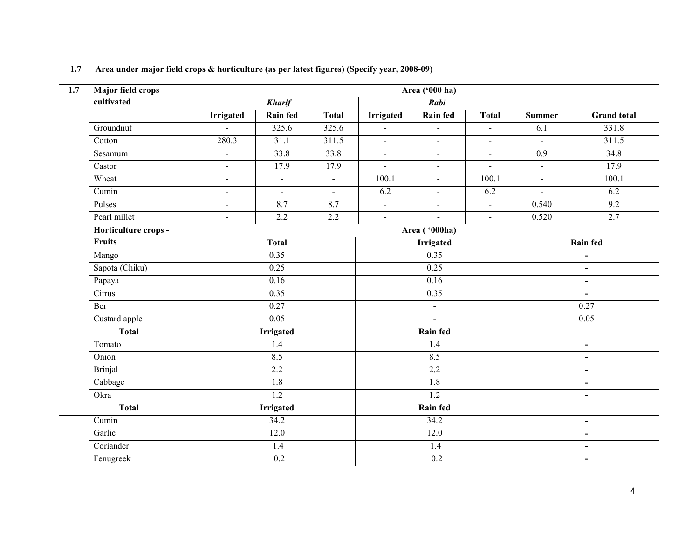| 1.7 | Major field crops    | Area ('000 ha)   |                     |              |                             |                  |                             |                          |                    |  |  |
|-----|----------------------|------------------|---------------------|--------------|-----------------------------|------------------|-----------------------------|--------------------------|--------------------|--|--|
|     | cultivated           |                  | <b>Kharif</b>       |              |                             | Rabi             |                             |                          |                    |  |  |
|     |                      | <b>Irrigated</b> | Rain fed            | Total        | <b>Irrigated</b>            | Rain fed         | <b>Total</b>                | <b>Summer</b>            | <b>Grand</b> total |  |  |
|     | Groundnut            | $\mathbf{r}$     | 325.6               | 325.6        | $\blacksquare$              | $\overline{a}$   |                             | 6.1                      | 331.8              |  |  |
|     | Cotton               | 280.3            | 31.1                | 311.5        | $\sim$                      | $\blacksquare$   | $\blacksquare$              | $\blacksquare$           | 311.5              |  |  |
|     | Sesamum              | $\mathbf{r}$     | 33.8                | 33.8         | $\blacksquare$              | $\sim$           | $\blacksquare$              | 0.9                      | 34.8               |  |  |
|     | Castor               | $\sim$           | 17.9                | 17.9         | $\blacksquare$              | $\blacksquare$   | $\blacksquare$              | $\sim$                   | 17.9               |  |  |
|     | Wheat                | $\blacksquare$   | $\bar{\phantom{a}}$ | $\mathbf{r}$ | 100.1                       | $\overline{a}$   | 100.1                       | $\blacksquare$           | 100.1              |  |  |
|     | Cumin                | $\blacksquare$   | $\mathbf{r}$        | $\sim$       | 6.2                         | $\blacksquare$   | 6.2                         | $\mathbf{r}$             | 6.2                |  |  |
|     | Pulses               | $\blacksquare$   | 8.7                 | 8.7          | $\mathcal{L}$               | $\mathbf{r}$     | $\mathcal{L}^{\mathcal{L}}$ | 0.540                    | 9.2                |  |  |
|     | Pearl millet         | $\sim$           | 2.2                 | 2.2          | $\blacksquare$              | $\mathbb{Z}^2$   | $\omega$                    | 0.520                    | 2.7                |  |  |
|     | Horticulture crops - |                  |                     |              |                             | Area ('000ha)    |                             |                          |                    |  |  |
|     | <b>Fruits</b>        |                  | <b>Total</b>        |              |                             | <b>Irrigated</b> |                             | Rain fed                 |                    |  |  |
|     | Mango                |                  | 0.35                |              |                             | 0.35             |                             | $\overline{\phantom{a}}$ |                    |  |  |
|     | Sapota (Chiku)       |                  | 0.25                |              |                             | 0.25             |                             |                          | $\blacksquare$     |  |  |
|     | Papaya               |                  | 0.16                |              |                             | 0.16             |                             |                          | $\blacksquare$     |  |  |
|     | Citrus               |                  | 0.35                |              |                             | 0.35             |                             |                          | $\blacksquare$     |  |  |
|     | Ber                  |                  | 0.27                |              | $\mathcal{L}_{\mathcal{A}}$ |                  |                             | 0.27                     |                    |  |  |
|     | Custard apple        |                  | 0.05                |              | $\overline{\phantom{a}}$    |                  |                             | 0.05                     |                    |  |  |
|     | <b>Total</b>         |                  | <b>Irrigated</b>    |              |                             | Rain fed         |                             |                          |                    |  |  |
|     | Tomato               |                  | 1.4                 |              |                             | 1.4              |                             |                          | $\blacksquare$     |  |  |
|     | Onion                |                  | 8.5                 |              |                             | 8.5              |                             |                          | $\blacksquare$     |  |  |
|     | <b>Brinjal</b>       |                  | 2.2                 |              |                             | 2.2              |                             |                          | $\blacksquare$     |  |  |
|     | Cabbage              |                  | 1.8                 |              |                             | 1.8              |                             |                          | $\blacksquare$     |  |  |
|     | Okra                 |                  | $\overline{1.2}$    |              |                             | $\overline{1.2}$ |                             |                          | $\overline{a}$     |  |  |
|     | <b>Total</b>         |                  | <b>Irrigated</b>    |              | Rain fed                    |                  |                             |                          |                    |  |  |
|     | Cumin                |                  | 34.2                |              |                             | 34.2             |                             |                          | $\blacksquare$     |  |  |
|     | Garlic               |                  | 12.0                |              |                             | 12.0             |                             | $\blacksquare$           |                    |  |  |
|     | Coriander            |                  | 1.4                 |              |                             | 1.4              |                             | $\overline{\phantom{0}}$ |                    |  |  |
|     | Fenugreek            |                  | $0.2\,$             |              |                             | $0.2\,$          |                             | $\blacksquare$           |                    |  |  |

### 1.7 Area under major field crops & horticulture (as per latest figures) (Specify year, 2008-09)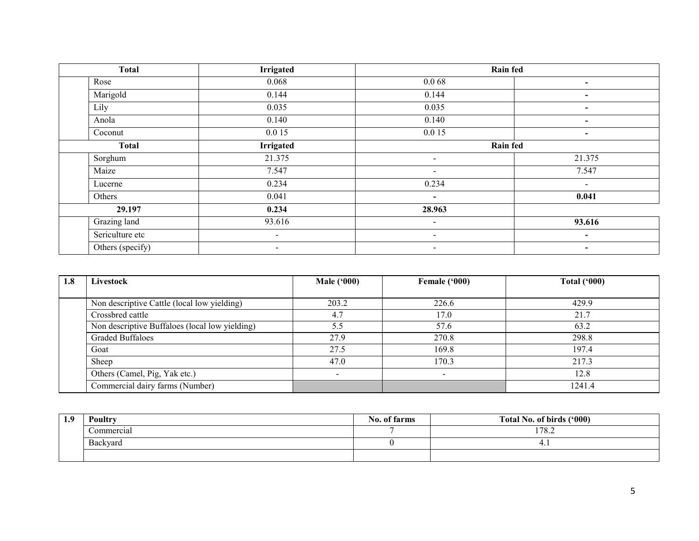| <b>Total</b>     | <b>Irrigated</b> | <b>Rain fed</b>          |                          |
|------------------|------------------|--------------------------|--------------------------|
| Rose             | 0.068            | 0.068                    | $\overline{\phantom{0}}$ |
| Marigold         | 0.144            | 0.144                    | $\blacksquare$           |
| Lily             | 0.035            | 0.035                    |                          |
| Anola            | 0.140            | 0.140                    | $\sim$                   |
| Coconut          | 0.0 15           | 0.0 15                   | $\blacksquare$           |
| <b>Total</b>     | <b>Irrigated</b> | <b>Rain fed</b>          |                          |
| Sorghum          | 21.375           | $\overline{\phantom{a}}$ | 21.375                   |
| Maize            | 7.547            | $\sim$                   | 7.547                    |
| Lucerne          | 0.234            | 0.234                    | $\blacksquare$           |
| Others           | 0.041            | $\blacksquare$           | 0.041                    |
| 29.197           | 0.234            | 28.963                   |                          |
| Grazing land     | 93.616           | $\sim$                   | 93.616                   |
| Sericulture etc  |                  | $\overline{\phantom{a}}$ | $\overline{\phantom{a}}$ |
| Others (specify) | $\sim$           | $\sim$                   | $\blacksquare$           |

| 1.8 | Livestock                                      | <b>Male ('000)</b> | Female ('000) | Total $(900)$ |
|-----|------------------------------------------------|--------------------|---------------|---------------|
|     |                                                |                    |               |               |
|     | Non descriptive Cattle (local low yielding)    | 203.2              | 226.6         | 429.9         |
|     | Crossbred cattle                               | 4.7                | 17.0          | 21.7          |
|     | Non descriptive Buffaloes (local low yielding) | 5.5                | 57.6          | 63.2          |
|     | <b>Graded Buffaloes</b>                        | 27.9               | 270.8         | 298.8         |
|     | Goat                                           | 27.5               | 169.8         | 197.4         |
|     | Sheep                                          | 47.0               | 170.3         | 217.3         |
|     | Others (Camel, Pig, Yak etc.)                  |                    |               | 12.8          |
|     | Commercial dairy farms (Number)                |                    |               | 1241.4        |

| 1.9 | Poultry    | No. of farms | Total No. of birds ('000) |
|-----|------------|--------------|---------------------------|
|     | Commercial |              | 178.2                     |
|     | Backyard   |              | 4.1                       |
|     |            |              |                           |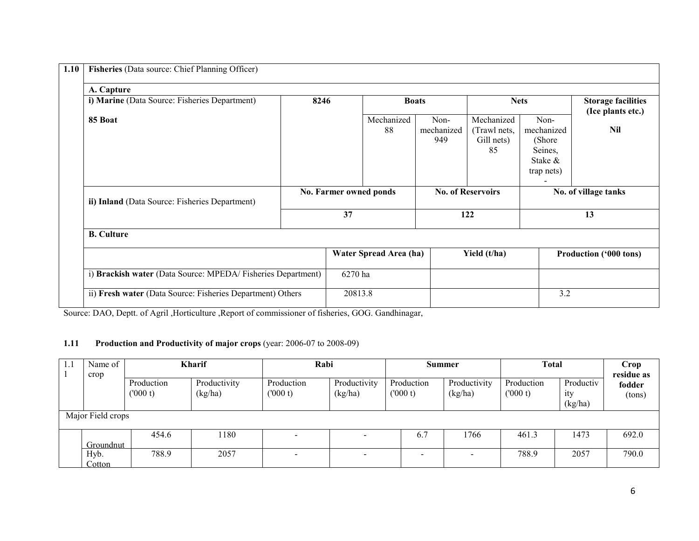| 1.10 | Fisheries (Data source: Chief Planning Officer)             |      |                        |                        |                           |                                                |                                                                   |                                                |  |  |
|------|-------------------------------------------------------------|------|------------------------|------------------------|---------------------------|------------------------------------------------|-------------------------------------------------------------------|------------------------------------------------|--|--|
|      | A. Capture                                                  |      |                        |                        |                           |                                                |                                                                   |                                                |  |  |
|      | i) Marine (Data Source: Fisheries Department)               | 8246 |                        |                        | <b>Boats</b>              |                                                | <b>Nets</b>                                                       | <b>Storage facilities</b><br>(Ice plants etc.) |  |  |
|      | 85 Boat                                                     |      |                        | Mechanized<br>88       | Non-<br>mechanized<br>949 | Mechanized<br>(Trawl nets,<br>Gill nets)<br>85 | Non-<br>mechanized<br>(Shore)<br>Seines,<br>Stake &<br>trap nets) | <b>Nil</b>                                     |  |  |
|      | ii) Inland (Data Source: Fisheries Department)              |      | No. Farmer owned ponds |                        |                           | <b>No. of Reservoirs</b>                       |                                                                   | No. of village tanks                           |  |  |
|      |                                                             |      | 37                     |                        |                           | 122                                            |                                                                   | 13                                             |  |  |
|      | <b>B.</b> Culture                                           |      |                        |                        |                           |                                                |                                                                   |                                                |  |  |
|      |                                                             |      |                        | Water Spread Area (ha) |                           | Yield (t/ha)                                   |                                                                   | <b>Production ('000 tons)</b>                  |  |  |
|      | i) Brackish water (Data Source: MPEDA/Fisheries Department) |      | 6270 ha                |                        |                           |                                                |                                                                   |                                                |  |  |
|      | ii) Fresh water (Data Source: Fisheries Department) Others  |      | 20813.8                |                        |                           |                                                | 3.2                                                               |                                                |  |  |

Source: DAO, Deptt. of Agril ,Horticulture ,Report of commissioner of fisheries, GOG. Gandhinagar,

### 1.11 Production and Productivity of major crops (year: 2006-07 to 2008-09)

| 1.1 | Name of<br>crop   |                       | Kharif                  |                          | Rabi                    |                          | <b>Summer</b>            | <b>Total</b>          |                             | Crop<br>residue as |
|-----|-------------------|-----------------------|-------------------------|--------------------------|-------------------------|--------------------------|--------------------------|-----------------------|-----------------------------|--------------------|
|     |                   | Production<br>(000 t) | Productivity<br>(kg/ha) | Production<br>(000 t)    | Productivity<br>(kg/ha) | Production<br>(000 t)    | Productivity<br>(kg/ha)  | Production<br>(000 t) | Productiv<br>ity<br>(kg/ha) | fodder<br>(tons)   |
|     | Major Field crops |                       |                         |                          |                         |                          |                          |                       |                             |                    |
|     | Groundnut         | 454.6                 | 180                     |                          |                         | 6.7                      | 1766                     | 461.3                 | 1473                        | 692.0              |
|     | Hyb.<br>Cotton    | 788.9                 | 2057                    | $\overline{\phantom{0}}$ |                         | $\overline{\phantom{0}}$ | $\overline{\phantom{0}}$ | 788.9                 | 2057                        | 790.0              |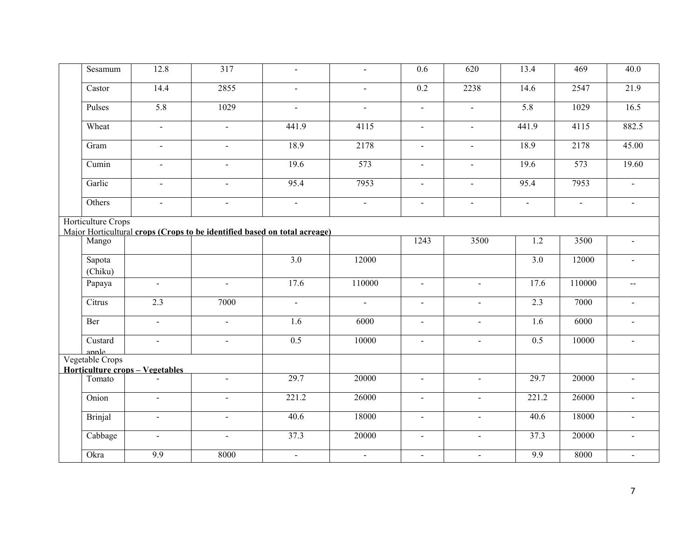| Sesamum            | 12.8                            | $\overline{317}$                                                          | $\blacksquare$   | $\blacksquare$ | 0.6              | 620            | 13.4                     | 469            | 40.0           |
|--------------------|---------------------------------|---------------------------------------------------------------------------|------------------|----------------|------------------|----------------|--------------------------|----------------|----------------|
| Castor             | 14.4                            | 2855                                                                      |                  | $\sim$         | $\overline{0.2}$ | 2238           | 14.6                     | 2547           | 21.9           |
| Pulses             | 5.8                             | 1029                                                                      | $\blacksquare$   | $\blacksquare$ | $\blacksquare$   | $\omega$       | 5.8                      | 1029           | 16.5           |
| Wheat              | $\blacksquare$                  | $\blacksquare$                                                            | 441.9            | 4115           | $\blacksquare$   | $\blacksquare$ | 441.9                    | 4115           | 882.5          |
| Gram               | $\mathbf{r}$                    | $\overline{a}$                                                            | 18.9             | 2178           | $\omega$         | $\omega$       | 18.9                     | 2178           | 45.00          |
| Cumin              | $\sim$                          | $\sim$                                                                    | 19.6             | 573            | $\sim$           | $\blacksquare$ | 19.6                     | 573            | 19.60          |
| Garlic             | $\blacksquare$                  | $\blacksquare$                                                            | 95.4             | 7953           | $\blacksquare$   | $\blacksquare$ | 95.4                     | 7953           | $\mathbf{r}$   |
| Others             | $\blacksquare$                  | $\blacksquare$                                                            | $\blacksquare$   | $\blacksquare$ | $\blacksquare$   | $\blacksquare$ | $\overline{\phantom{a}}$ | $\blacksquare$ | $\blacksquare$ |
| Horticulture Crops |                                 | Major Horticultural crops (Crops to be identified based on total acreage) |                  |                |                  |                |                          |                |                |
| Mango              |                                 |                                                                           |                  |                | 1243             | 3500           | 1.2                      | 3500           | $\blacksquare$ |
| Sapota<br>(Chiku)  |                                 |                                                                           | 3.0              | 12000          |                  |                | 3.0                      | 12000          | ÷              |
| Papaya             | $\blacksquare$                  | $\mathbf{u}$                                                              | 17.6             | 110000         | $\blacksquare$   | $\blacksquare$ | 17.6                     | 110000         | $\sim$ $\sim$  |
| Citrus             | 2.3                             | 7000                                                                      | $\sim$           | $\sim$         | $\sim$           | $\sim$         | 2.3                      | 7000           | $\overline{a}$ |
| Ber                | $\omega$                        | $\blacksquare$                                                            | 1.6              | 6000           | $\blacksquare$   | $\omega$       | 1.6                      | 6000           | $\blacksquare$ |
| Custard<br>annle   | $\blacksquare$                  | $\blacksquare$                                                            | $\overline{0.5}$ | 10000          | $\blacksquare$   | $\blacksquare$ | 0.5                      | 10000          | $\blacksquare$ |
| Vegetable Crops    |                                 |                                                                           |                  |                |                  |                |                          |                |                |
| Tomato             | Horticulture crops - Vegetables | $\omega$                                                                  | 29.7             | 20000          | $\blacksquare$   | $\blacksquare$ | 29.7                     | 20000          | $\blacksquare$ |
|                    |                                 |                                                                           |                  |                |                  |                |                          |                |                |
| Onion              | $\blacksquare$                  | $\sim$                                                                    | 221.2            | 26000          | $\blacksquare$   | $\sim$         | 221.2                    | 26000          | $\sim$         |
| <b>Brinjal</b>     | $\blacksquare$                  | $\mathbf{u}$                                                              | 40.6             | 18000          | $\blacksquare$   | $\blacksquare$ | 40.6                     | 18000          | $\blacksquare$ |
| Cabbage            | $\blacksquare$                  | $\blacksquare$                                                            | 37.3             | 20000          | $\blacksquare$   | $\omega$       | 37.3                     | 20000          | L.             |
| Okra               | $\overline{9.9}$                | 8000                                                                      | $\mathbf{r}$     | $\blacksquare$ | $\blacksquare$   | $\blacksquare$ | 9.9                      | 8000           | $\blacksquare$ |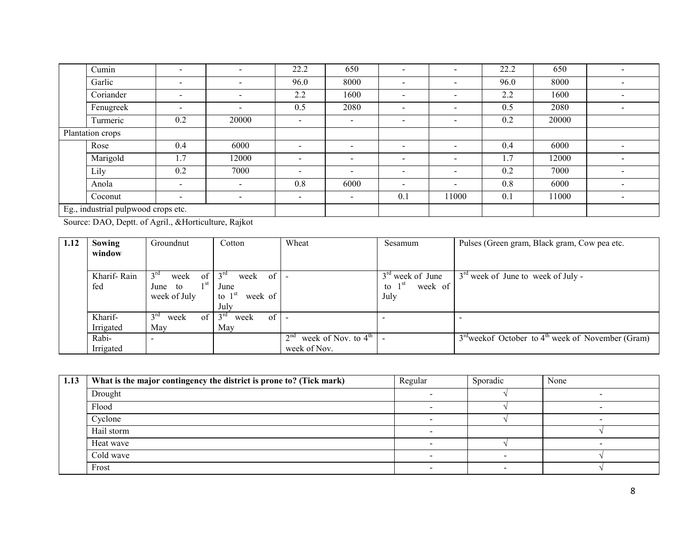|                                     | Cumin            | $\overline{\phantom{0}}$ | $\overline{\phantom{a}}$ | 22.2                     | 650                      | $\blacksquare$           | $\overline{\phantom{a}}$ | 22.2 | 650   |                          |
|-------------------------------------|------------------|--------------------------|--------------------------|--------------------------|--------------------------|--------------------------|--------------------------|------|-------|--------------------------|
|                                     | Garlic           | $\overline{\phantom{0}}$ | $\sim$                   | 96.0                     | 8000                     | -                        | $\overline{\phantom{0}}$ | 96.0 | 8000  |                          |
|                                     | Coriander        | $\overline{\phantom{a}}$ | $\sim$                   | 2.2                      | 1600                     | $\blacksquare$           | $\blacksquare$           | 2.2  | 1600  | $\overline{\phantom{0}}$ |
|                                     | Fenugreek        | $\overline{\phantom{a}}$ | $\sim$                   | 0.5                      | 2080                     | $\overline{\phantom{0}}$ | $\sim$                   | 0.5  | 2080  | $\overline{\phantom{a}}$ |
|                                     | Turmeric         | 0.2                      | 20000                    |                          | $\overline{\phantom{a}}$ | $\overline{\phantom{0}}$ | $\blacksquare$           | 0.2  | 20000 |                          |
|                                     | Plantation crops |                          |                          |                          |                          |                          |                          |      |       |                          |
|                                     | Rose             | 0.4                      | 6000                     | $\,$                     | $\overline{\phantom{a}}$ | $\overline{\phantom{0}}$ | $\overline{\phantom{a}}$ | 0.4  | 6000  |                          |
|                                     | Marigold         | 1.7                      | 12000                    | $\overline{\phantom{0}}$ | $\overline{\phantom{a}}$ | $\overline{\phantom{0}}$ | $\overline{\phantom{0}}$ | 1.7  | 12000 | ۰                        |
|                                     | Lily             | 0.2                      | 7000                     | $\overline{\phantom{0}}$ | $\overline{\phantom{a}}$ | $\overline{\phantom{0}}$ | $\overline{\phantom{a}}$ | 0.2  | 7000  | $\overline{\phantom{0}}$ |
|                                     | Anola            | $\overline{\phantom{a}}$ | $\sim$                   | 0.8                      | 6000                     | -                        | $\overline{\phantom{a}}$ | 0.8  | 6000  |                          |
|                                     | Coconut          | $\overline{\phantom{a}}$ | $\sim$                   | $\overline{\phantom{a}}$ | $\blacksquare$           | 0.1                      | 11000                    | 0.1  | 11000 |                          |
| Eg., industrial pulpwood crops etc. |                  |                          |                          |                          |                          |                          |                          |      |       |                          |

Source: DAO, Deptt. of Agril., &Horticulture, Rajkot

| 1.12 | Sowing      | Groundnut                             | Cotton                        | Wheat                                              | Sesamum             | Pulses (Green gram, Black gram, Cow pea etc.                     |
|------|-------------|---------------------------------------|-------------------------------|----------------------------------------------------|---------------------|------------------------------------------------------------------|
|      | window      |                                       |                               |                                                    |                     |                                                                  |
|      |             |                                       |                               |                                                    |                     |                                                                  |
|      | Kharif-Rain | $3^{rd}$<br>of<br>week                | $3^{rd}$<br>week of           |                                                    | $3rd$ week of June  | $3rd$ week of June to week of July -                             |
|      | fed         | 1 St<br>June to                       | June                          |                                                    | week of<br>to $1st$ |                                                                  |
|      |             | week of July                          | week of<br>to $1st$           |                                                    | July                |                                                                  |
|      |             |                                       | July                          |                                                    |                     |                                                                  |
|      | Kharif-     | 3 <sup>rd</sup><br>$\alpha$ f<br>week | $3^{\text{rd}}$<br>of<br>week |                                                    |                     |                                                                  |
|      | Irrigated   | May                                   | May                           |                                                    |                     |                                                                  |
|      | Rabi-       | $\overline{\phantom{a}}$              |                               | week of Nov. to $4^{\text{th}}$<br>2 <sup>nd</sup> |                     | $3rd$ week of October to 4 <sup>th</sup> week of November (Gram) |
|      | Irrigated   |                                       |                               | week of Nov.                                       |                     |                                                                  |

| 1.13 | What is the major contingency the district is prone to? (Tick mark) | Regular                  | Sporadic | None |
|------|---------------------------------------------------------------------|--------------------------|----------|------|
|      | Drought                                                             |                          |          |      |
|      | Flood                                                               |                          |          | -    |
|      | Cyclone                                                             | $\overline{\phantom{0}}$ |          | -    |
|      | Hail storm                                                          |                          |          |      |
|      | Heat wave                                                           | $\overline{\phantom{0}}$ |          |      |
|      | Cold wave                                                           |                          |          |      |
|      | Frost                                                               |                          |          |      |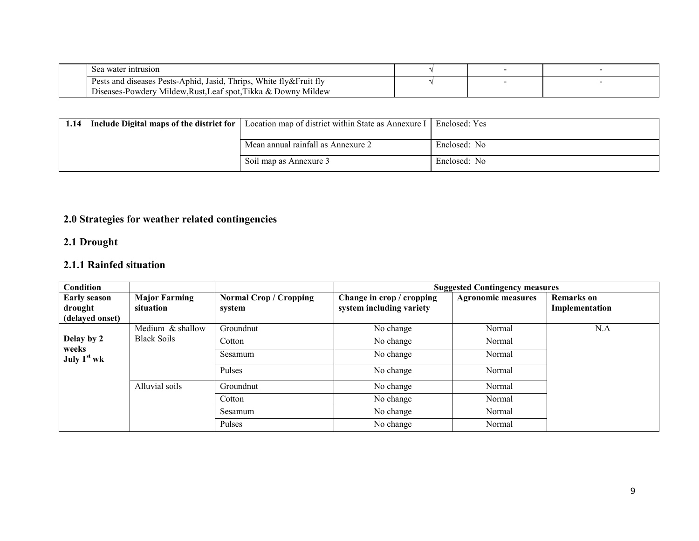| intrusion<br>Sea water                                                         |  |  |
|--------------------------------------------------------------------------------|--|--|
| White fly&Fruit fly<br>Thrips.<br>Pests and diseases Pests-Aphid.<br>, Jasıd,  |  |  |
| Mildew<br>Diseases<br>/ Mildew.Rust.Leaf spot.Tikka & Downy<br>-Powderv<br>-55 |  |  |

| 1.14 | Include Digital maps of the district for | Location map of district within State as Annexure I | Enclosed: Yes |
|------|------------------------------------------|-----------------------------------------------------|---------------|
|      |                                          | Mean annual rainfall as Annexure 2                  | Enclosed: No  |
|      |                                          | Soil map as Annexure 3                              | Enclosed: No  |

## 2.0 Strategies for weather related contingencies

### 2.1 Drought

# 2.1.1 Rainfed situation

| <b>Condition</b>               |                                   |                                         | <b>Suggested Contingency measures</b>                 |                           |                                     |  |
|--------------------------------|-----------------------------------|-----------------------------------------|-------------------------------------------------------|---------------------------|-------------------------------------|--|
| <b>Early season</b><br>drought | <b>Major Farming</b><br>situation | <b>Normal Crop / Cropping</b><br>system | Change in crop / cropping<br>system including variety | <b>Agronomic measures</b> | <b>Remarks</b> on<br>Implementation |  |
| (delayed onset)                |                                   |                                         |                                                       |                           |                                     |  |
|                                | Medium & shallow                  | Groundnut                               | No change                                             | Normal                    | N.A                                 |  |
| Delay by 2                     | <b>Black Soils</b>                | Cotton                                  | No change                                             | Normal                    |                                     |  |
| weeks<br>July $1st$ wk         |                                   | Sesamum                                 | No change                                             | Normal                    |                                     |  |
|                                |                                   | Pulses                                  | No change                                             | Normal                    |                                     |  |
|                                | Alluvial soils                    | Groundnut                               | No change                                             | Normal                    |                                     |  |
|                                |                                   | Cotton                                  | No change                                             | Normal                    |                                     |  |
|                                |                                   | Sesamum                                 | No change                                             | Normal                    |                                     |  |
|                                |                                   | Pulses                                  | No change                                             | Normal                    |                                     |  |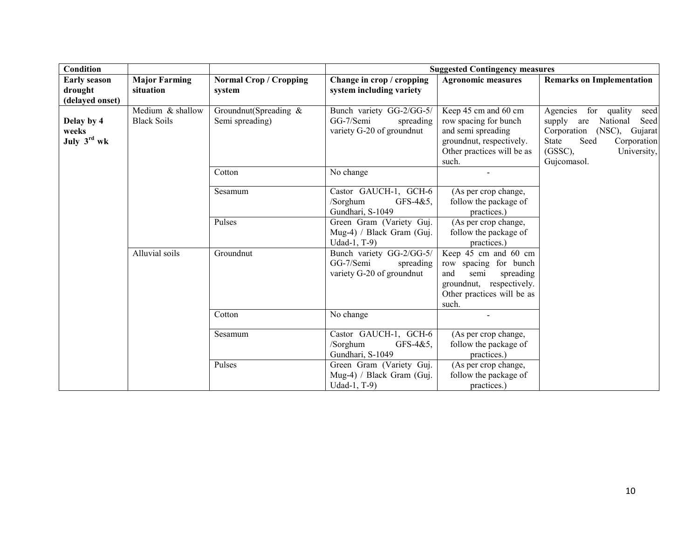| Condition                                         |                                        |                                          | <b>Suggested Contingency measures</b>                                           |                                                                                                                                              |                                                                                                                                                                                            |  |
|---------------------------------------------------|----------------------------------------|------------------------------------------|---------------------------------------------------------------------------------|----------------------------------------------------------------------------------------------------------------------------------------------|--------------------------------------------------------------------------------------------------------------------------------------------------------------------------------------------|--|
| <b>Early season</b><br>drought<br>(delayed onset) | <b>Major Farming</b><br>situation      | <b>Normal Crop / Cropping</b><br>system  | Change in crop / cropping<br>system including variety                           | <b>Agronomic measures</b>                                                                                                                    | <b>Remarks on Implementation</b>                                                                                                                                                           |  |
| Delay by 4<br>weeks<br>July 3rd wk                | Medium & shallow<br><b>Black Soils</b> | Groundnut(Spreading &<br>Semi spreading) | Bunch variety GG-2/GG-5/<br>GG-7/Semi<br>spreading<br>variety G-20 of groundnut | Keep 45 cm and 60 cm<br>row spacing for bunch<br>and semi spreading<br>groundnut, respectively.<br>Other practices will be as<br>such.       | Agencies<br>for<br>quality<br>seed<br>supply<br>National<br>Seed<br>are<br>Corporation<br>$(NSC)$ ,<br>Gujarat<br>Seed<br>State<br>Corporation<br>$(GSSC)$ ,<br>University,<br>Gujcomasol. |  |
|                                                   |                                        | Cotton                                   | No change                                                                       |                                                                                                                                              |                                                                                                                                                                                            |  |
|                                                   |                                        | Sesamum                                  | Castor GAUCH-1, GCH-6<br>/Sorghum<br>GFS-4&5,<br>Gundhari, S-1049               | (As per crop change,<br>follow the package of<br>practices.)                                                                                 |                                                                                                                                                                                            |  |
|                                                   |                                        | Pulses                                   | Green Gram (Variety Guj.<br>Mug-4) / Black Gram (Guj.<br>Udad-1, T-9)           | (As per crop change,<br>follow the package of<br>practices.)                                                                                 |                                                                                                                                                                                            |  |
|                                                   | Alluvial soils                         | Groundnut                                | Bunch variety GG-2/GG-5/<br>GG-7/Semi<br>spreading<br>variety G-20 of groundnut | Keep 45 cm and 60 cm<br>row spacing for bunch<br>and<br>semi<br>spreading<br>groundnut, respectively.<br>Other practices will be as<br>such. |                                                                                                                                                                                            |  |
|                                                   |                                        | Cotton                                   | No change                                                                       |                                                                                                                                              |                                                                                                                                                                                            |  |
|                                                   |                                        | Sesamum                                  | Castor GAUCH-1, GCH-6<br>/Sorghum<br>GFS-4&5,<br>Gundhari, S-1049               | (As per crop change,<br>follow the package of<br>practices.)                                                                                 |                                                                                                                                                                                            |  |
|                                                   |                                        | Pulses                                   | Green Gram (Variety Guj.<br>Mug-4) / Black Gram (Guj.<br>Udad-1, T-9)           | (As per crop change,<br>follow the package of<br>practices.)                                                                                 |                                                                                                                                                                                            |  |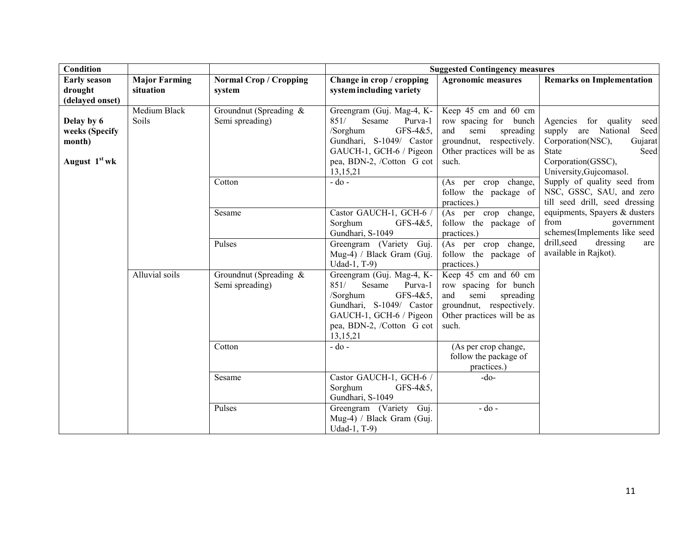| Condition                                                           |                                   |                                              | <b>Suggested Contingency measures</b>                                                                                                                                          |                                                                                                                                              |                                                                                                                                                               |  |
|---------------------------------------------------------------------|-----------------------------------|----------------------------------------------|--------------------------------------------------------------------------------------------------------------------------------------------------------------------------------|----------------------------------------------------------------------------------------------------------------------------------------------|---------------------------------------------------------------------------------------------------------------------------------------------------------------|--|
| <b>Early season</b><br>drought<br>(delayed onset)                   | <b>Major Farming</b><br>situation | <b>Normal Crop / Cropping</b><br>system      | Change in crop / cropping<br>system including variety                                                                                                                          | <b>Agronomic measures</b>                                                                                                                    | <b>Remarks on Implementation</b>                                                                                                                              |  |
| Delay by 6<br>weeks (Specify<br>month)<br>August 1 <sup>st</sup> wk | Medium Black<br>Soils             | Groundnut (Spreading $\&$<br>Semi spreading) | Greengram (Guj. Mag-4, K-<br>851/<br>Sesame<br>Purva-1<br>GFS-4&5,<br>/Sorghum<br>Gundhari, S-1049/ Castor<br>GAUCH-1, GCH-6 / Pigeon<br>pea, BDN-2, /Cotton G cot<br>13,15,21 | Keep 45 cm and 60 cm<br>row spacing for bunch<br>and<br>semi<br>spreading<br>groundnut, respectively.<br>Other practices will be as<br>such. | Agencies for quality<br>seed<br>supply are National<br>Seed<br>Corporation(NSC),<br>Gujarat<br>Seed<br>State<br>Corporation(GSSC),<br>University, Gujcomasol. |  |
|                                                                     |                                   | Cotton                                       | $-do$ -                                                                                                                                                                        | (As per crop change,<br>follow the package of<br>practices.)                                                                                 | Supply of quality seed from<br>NSC, GSSC, SAU, and zero<br>till seed drill, seed dressing                                                                     |  |
|                                                                     |                                   | Sesame                                       | Castor GAUCH-1, GCH-6 /<br>Sorghum<br>$GFS-4&5$ ,<br>Gundhari, S-1049                                                                                                          | (As per crop change,<br>follow the package of<br>practices.)                                                                                 | equipments, Spayers & dusters<br>from<br>government<br>schemes(Implements like seed                                                                           |  |
|                                                                     |                                   | Pulses                                       | Greengram (Variety Guj.<br>Mug-4) / Black Gram (Guj.<br>Udad-1, T-9)                                                                                                           | (As per crop change,<br>follow the package of<br>practices.)                                                                                 | drill, seed<br>dressing<br>are<br>available in Rajkot).                                                                                                       |  |
|                                                                     | Alluvial soils                    | Groundnut (Spreading $\&$<br>Semi spreading) | Greengram (Guj. Mag-4, K-<br>851/<br>Sesame<br>Purva-1<br>GFS-4&5,<br>/Sorghum<br>Gundhari, S-1049/ Castor<br>GAUCH-1, GCH-6 / Pigeon<br>pea, BDN-2, /Cotton G cot<br>13,15,21 | Keep 45 cm and 60 cm<br>row spacing for bunch<br>and<br>spreading<br>semi<br>groundnut, respectively.<br>Other practices will be as<br>such. |                                                                                                                                                               |  |
|                                                                     |                                   | Cotton                                       | $-do$ -                                                                                                                                                                        | (As per crop change,<br>follow the package of<br>practices.)                                                                                 |                                                                                                                                                               |  |
|                                                                     |                                   | Sesame                                       | Castor GAUCH-1, GCH-6 /<br>Sorghum<br>GFS-4&5,<br>Gundhari, S-1049                                                                                                             | $-do-$                                                                                                                                       |                                                                                                                                                               |  |
|                                                                     |                                   | Pulses                                       | Greengram (Variety Guj.<br>Mug-4) / Black Gram (Guj.<br>Udad-1, T-9)                                                                                                           | $-do-$                                                                                                                                       |                                                                                                                                                               |  |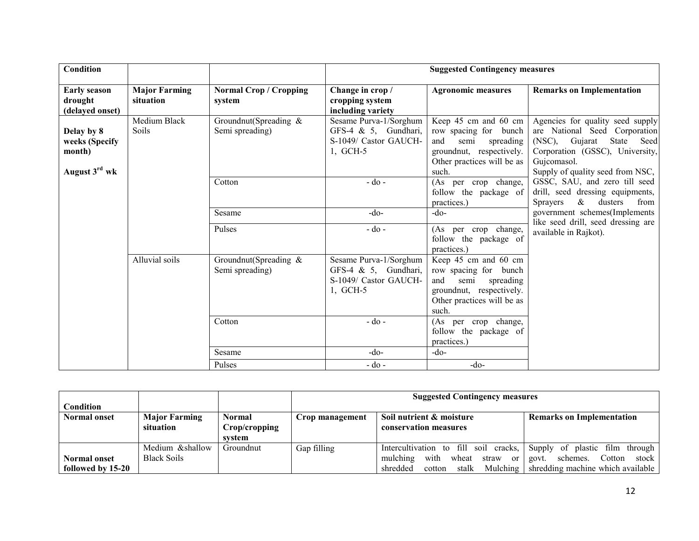| <b>Condition</b>                                                    |                                   |                                          |                                                                                        | <b>Suggested Contingency measures</b>                                                                                                        |                                                                                                                                                                                            |
|---------------------------------------------------------------------|-----------------------------------|------------------------------------------|----------------------------------------------------------------------------------------|----------------------------------------------------------------------------------------------------------------------------------------------|--------------------------------------------------------------------------------------------------------------------------------------------------------------------------------------------|
| <b>Early season</b><br>drought<br>(delayed onset)                   | <b>Major Farming</b><br>situation | <b>Normal Crop / Cropping</b><br>system  | Change in crop /<br>cropping system<br>including variety                               | <b>Agronomic measures</b>                                                                                                                    | <b>Remarks on Implementation</b>                                                                                                                                                           |
| Delay by 8<br>weeks (Specify<br>month)<br>August 3 <sup>rd</sup> wk | Medium Black<br>Soils             | Groundnut(Spreading &<br>Semi spreading) | Sesame Purva-1/Sorghum<br>GFS-4 & 5, Gundhari,<br>S-1049/ Castor GAUCH-<br>1, GCH-5    | Keep 45 cm and 60 cm<br>row spacing for bunch<br>semi<br>and<br>spreading<br>groundnut, respectively.<br>Other practices will be as<br>such. | Agencies for quality seed supply<br>are National Seed Corporation<br>(NSC), Gujarat<br>State<br>Seed<br>Corporation (GSSC), University,<br>Gujcomasol.<br>Supply of quality seed from NSC, |
|                                                                     |                                   | Cotton                                   | - do -                                                                                 | (As per crop change,<br>follow the package of<br>practices.)                                                                                 | GSSC, SAU, and zero till seed<br>drill, seed dressing equipments,<br>$\&$<br>dusters<br>from<br><b>Sprayers</b>                                                                            |
|                                                                     |                                   | Sesame                                   | $-do$                                                                                  | $-do-$                                                                                                                                       | government schemes(Implements                                                                                                                                                              |
|                                                                     |                                   | Pulses                                   | $-do$ -                                                                                | (As per crop change,<br>follow the package of<br>practices.)                                                                                 | like seed drill, seed dressing are<br>available in Rajkot).                                                                                                                                |
|                                                                     | Alluvial soils                    | Groundnut(Spreading &<br>Semi spreading) | Sesame Purva-1/Sorghum<br>GFS-4 $\&$ 5, Gundhari,<br>S-1049/ Castor GAUCH-<br>1, GCH-5 | Keep 45 cm and 60 cm<br>row spacing for bunch<br>and<br>semi<br>spreading<br>groundnut, respectively.<br>Other practices will be as<br>such. |                                                                                                                                                                                            |
|                                                                     |                                   | Cotton                                   | $-do$ -                                                                                | (As per crop change,<br>follow the package of<br>practices.)                                                                                 |                                                                                                                                                                                            |
|                                                                     |                                   | Sesame                                   | $-do$ -                                                                                | $-do-$                                                                                                                                       |                                                                                                                                                                                            |
|                                                                     |                                   | Pulses                                   | $-do$ -                                                                                | $-do-$                                                                                                                                       |                                                                                                                                                                                            |

|                     |                      |               | <b>Suggested Contingency measures</b>                                           |                                                |                                      |  |
|---------------------|----------------------|---------------|---------------------------------------------------------------------------------|------------------------------------------------|--------------------------------------|--|
| <b>Condition</b>    |                      |               |                                                                                 |                                                |                                      |  |
| <b>Normal onset</b> | <b>Major Farming</b> | Normal        | Soil nutrient & moisture<br><b>Remarks on Implementation</b><br>Crop management |                                                |                                      |  |
|                     | situation            | Crop/cropping |                                                                                 | conservation measures                          |                                      |  |
|                     |                      | system        |                                                                                 |                                                |                                      |  |
|                     | Medium &shallow      | Groundnut     | Gap filling                                                                     | Intercultivation to fill soil cracks,          | Supply of plastic film through       |  |
| <b>Normal onset</b> | <b>Black Soils</b>   |               |                                                                                 | mulching<br>with<br>wheat<br>straw<br>$\alpha$ | Cotton<br>schemes.<br>stock<br>govt. |  |
| followed by 15-20   |                      |               |                                                                                 | Mulching<br>stalk<br>shredded<br>cotton        | shredding machine which available    |  |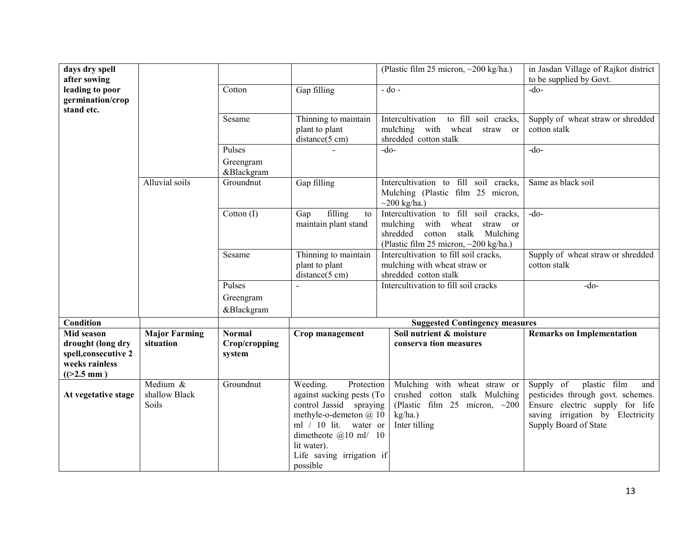| days dry spell<br>after sowing                                                             |                                      |                                          |                                                                                                                                                                                                                     | (Plastic film 25 micron, $\sim$ 200 kg/ha.)                                                                                                         | in Jasdan Village of Rajkot district<br>to be supplied by Govt.                                                                                                       |
|--------------------------------------------------------------------------------------------|--------------------------------------|------------------------------------------|---------------------------------------------------------------------------------------------------------------------------------------------------------------------------------------------------------------------|-----------------------------------------------------------------------------------------------------------------------------------------------------|-----------------------------------------------------------------------------------------------------------------------------------------------------------------------|
| leading to poor<br>germination/crop<br>stand etc.                                          |                                      | Cotton                                   | Gap filling                                                                                                                                                                                                         | $-do$ -                                                                                                                                             | $-do-$                                                                                                                                                                |
|                                                                                            |                                      | Sesame                                   | Thinning to maintain<br>plant to plant<br>distance(5 cm)                                                                                                                                                            | to fill soil cracks,<br>Intercultivation<br>mulching with wheat straw or<br>shredded cotton stalk                                                   | Supply of wheat straw or shredded<br>cotton stalk                                                                                                                     |
|                                                                                            |                                      | Pulses                                   |                                                                                                                                                                                                                     | $-do-$                                                                                                                                              | $-do-$                                                                                                                                                                |
|                                                                                            |                                      | Greengram<br>&Blackgram                  |                                                                                                                                                                                                                     |                                                                                                                                                     |                                                                                                                                                                       |
|                                                                                            | Alluvial soils                       | Groundnut                                | Gap filling                                                                                                                                                                                                         | Intercultivation to fill soil cracks,<br>Mulching (Plastic film 25 micron,<br>$\sim$ 200 kg/ha.)                                                    | Same as black soil                                                                                                                                                    |
|                                                                                            |                                      | Cotton (I)                               | filling<br>Gap<br>to<br>maintain plant stand                                                                                                                                                                        | Intercultivation to fill soil cracks,<br>mulching with wheat straw or<br>cotton stalk Mulching<br>shredded<br>(Plastic film 25 micron, ~200 kg/ha.) | $-do-$                                                                                                                                                                |
|                                                                                            |                                      | Sesame                                   | Thinning to maintain<br>plant to plant<br>distance(5 cm)                                                                                                                                                            | Intercultivation to fill soil cracks,<br>mulching with wheat straw or<br>shredded cotton stalk                                                      | Supply of wheat straw or shredded<br>cotton stalk                                                                                                                     |
|                                                                                            |                                      | Pulses                                   |                                                                                                                                                                                                                     | Intercultivation to fill soil cracks                                                                                                                | $-do$                                                                                                                                                                 |
|                                                                                            |                                      | Greengram                                |                                                                                                                                                                                                                     |                                                                                                                                                     |                                                                                                                                                                       |
|                                                                                            |                                      | &Blackgram                               |                                                                                                                                                                                                                     |                                                                                                                                                     |                                                                                                                                                                       |
| Condition                                                                                  |                                      |                                          |                                                                                                                                                                                                                     | <b>Suggested Contingency measures</b>                                                                                                               |                                                                                                                                                                       |
| Mid season<br>drought (long dry<br>spell, consecutive 2<br>weeks rainless<br>$((>2.5)$ mm) | <b>Major Farming</b><br>situation    | <b>Normal</b><br>Crop/cropping<br>system | Crop management                                                                                                                                                                                                     | Soil nutrient & moisture<br>conserva tion measures                                                                                                  | <b>Remarks on Implementation</b>                                                                                                                                      |
| At vegetative stage                                                                        | Medium $&$<br>shallow Black<br>Soils | Groundnut                                | Weeding.<br>Protection<br>against sucking pests (To<br>control Jassid spraying<br>methyle-o-demeton $@10$<br>ml / 10 lit. water or<br>dimetheote @10 ml/ 10<br>lit water).<br>Life saving irrigation if<br>possible | Mulching with wheat straw or<br>crushed cotton stalk Mulching<br>(Plastic film 25 micron, $\sim$ 200<br>kg/ha.)<br>Inter tilling                    | Supply of<br>plastic film<br>and<br>pesticides through govt. schemes.<br>Ensure electric supply for life<br>saving irrigation by Electricity<br>Supply Board of State |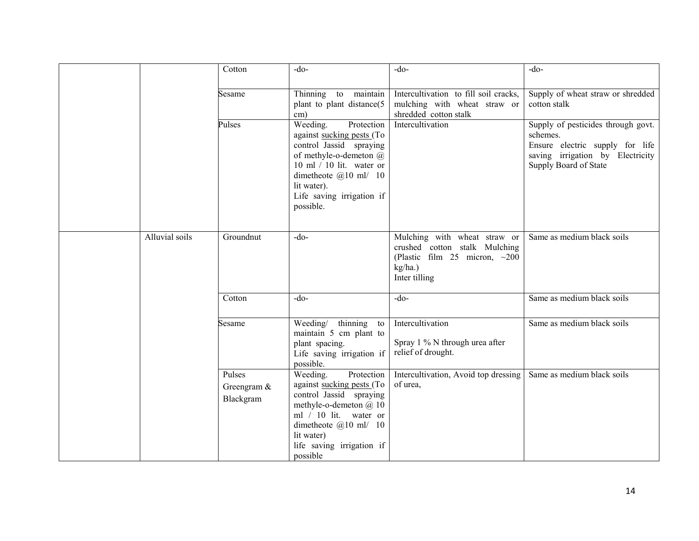|                | Cotton                             | $-do$                                                                                                                                                                                                                      | $-do-$                                                                                                                             | $-do$ -                                                                                                                                        |
|----------------|------------------------------------|----------------------------------------------------------------------------------------------------------------------------------------------------------------------------------------------------------------------------|------------------------------------------------------------------------------------------------------------------------------------|------------------------------------------------------------------------------------------------------------------------------------------------|
|                | Sesame                             | Thinning to maintain<br>plant to plant distance(5)<br>$\text{cm}$ )                                                                                                                                                        | Intercultivation to fill soil cracks,<br>mulching with wheat straw or<br>shredded cotton stalk                                     | Supply of wheat straw or shredded<br>cotton stalk                                                                                              |
|                | Pulses                             | Weeding.<br>Protection<br>against sucking pests (To<br>control Jassid spraying<br>of methyle-o-demeton @<br>10 ml $/$ 10 lit. water or<br>dimetheote $@10$ ml/ 10<br>lit water).<br>Life saving irrigation if<br>possible. | Intercultivation                                                                                                                   | Supply of pesticides through govt.<br>schemes.<br>Ensure electric supply for life<br>saving irrigation by Electricity<br>Supply Board of State |
| Alluvial soils | Groundnut                          | $-do$                                                                                                                                                                                                                      | Mulching with wheat straw or<br>crushed cotton stalk Mulching<br>(Plastic film $25$ micron, $\sim$ 200<br>kg/ha.)<br>Inter tilling | Same as medium black soils                                                                                                                     |
|                | Cotton                             | $-do-$                                                                                                                                                                                                                     | $-do-$                                                                                                                             | Same as medium black soils                                                                                                                     |
|                | Sesame                             | Weeding/<br>thinning to<br>maintain 5 cm plant to<br>plant spacing.<br>Life saving irrigation if<br>possible.                                                                                                              | Intercultivation<br>Spray 1 % N through urea after<br>relief of drought.                                                           | Same as medium black soils                                                                                                                     |
|                | Pulses<br>Greengram &<br>Blackgram | Protection<br>Weeding.<br>against sucking pests (To<br>control Jassid spraying<br>methyle-o-demeton $(a)$ 10<br>ml / 10 lit. water or<br>dimetheote $(a)$ 10 ml/ 10<br>lit water)<br>life saving irrigation if<br>possible | Intercultivation, Avoid top dressing<br>of urea,                                                                                   | Same as medium black soils                                                                                                                     |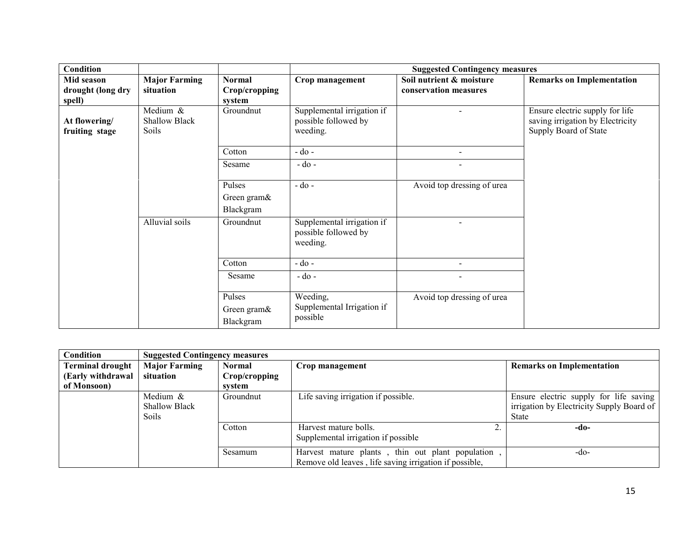| <b>Condition</b>                          |                                           |                                          | <b>Suggested Contingency measures</b>                          |                                                   |                                                                                              |  |
|-------------------------------------------|-------------------------------------------|------------------------------------------|----------------------------------------------------------------|---------------------------------------------------|----------------------------------------------------------------------------------------------|--|
| Mid season<br>drought (long dry<br>spell) | <b>Major Farming</b><br>situation         | <b>Normal</b><br>Crop/cropping<br>system | Crop management                                                | Soil nutrient & moisture<br>conservation measures | <b>Remarks on Implementation</b>                                                             |  |
| At flowering/<br>fruiting stage           | Medium &<br><b>Shallow Black</b><br>Soils | Groundnut                                | Supplemental irrigation if<br>possible followed by<br>weeding. |                                                   | Ensure electric supply for life<br>saving irrigation by Electricity<br>Supply Board of State |  |
|                                           |                                           | Cotton                                   | $-do$ -                                                        |                                                   |                                                                                              |  |
|                                           |                                           | Sesame                                   | $-do$ -                                                        |                                                   |                                                                                              |  |
|                                           |                                           | Pulses<br>Green gram&<br>Blackgram       | $-do$ -                                                        | Avoid top dressing of urea                        |                                                                                              |  |
|                                           | Alluvial soils                            | Groundnut                                | Supplemental irrigation if<br>possible followed by<br>weeding. |                                                   |                                                                                              |  |
|                                           |                                           | Cotton                                   | $-do$ -                                                        | $\overline{\phantom{0}}$                          |                                                                                              |  |
|                                           |                                           | Sesame                                   | $-do$ -                                                        |                                                   |                                                                                              |  |
|                                           |                                           | Pulses<br>Green gram&<br>Blackgram       | Weeding,<br>Supplemental Irrigation if<br>possible             | Avoid top dressing of urea                        |                                                                                              |  |

| Condition               | <b>Suggested Contingency measures</b>            |               |                                                                                                            |                                                                                                     |
|-------------------------|--------------------------------------------------|---------------|------------------------------------------------------------------------------------------------------------|-----------------------------------------------------------------------------------------------------|
| <b>Terminal drought</b> | <b>Major Farming</b>                             | <b>Normal</b> | Crop management                                                                                            | <b>Remarks on Implementation</b>                                                                    |
| (Early withdrawal       | situation                                        | Crop/cropping |                                                                                                            |                                                                                                     |
| of Monsoon)             |                                                  | system        |                                                                                                            |                                                                                                     |
|                         | Medium &<br><b>Shallow Black</b><br><b>Soils</b> | Groundnut     | Life saving irrigation if possible.                                                                        | Ensure electric supply for life saving<br>irrigation by Electricity Supply Board of<br><b>State</b> |
|                         |                                                  | Cotton        | Harvest mature bolls.<br>Supplemental irrigation if possible                                               | -do-                                                                                                |
|                         |                                                  | Sesamum       | Harvest mature plants, thin out plant population<br>Remove old leaves, life saving irrigation if possible, | $-do-$                                                                                              |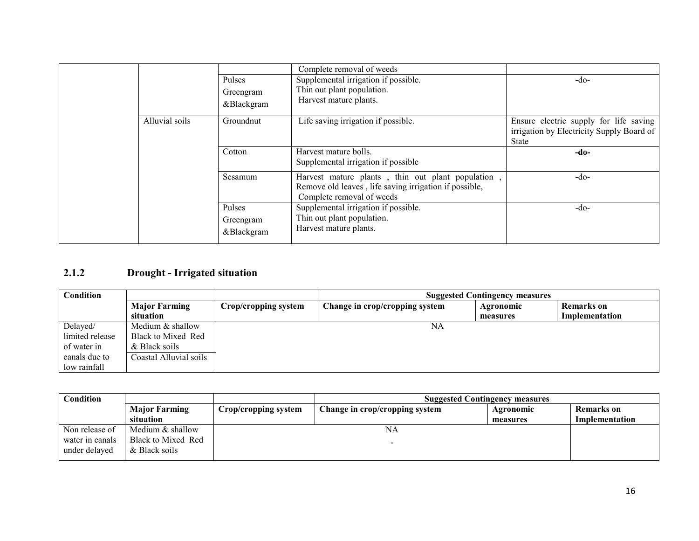|                |                                          | Complete removal of weeds                                                                                                                |                                                                                                     |
|----------------|------------------------------------------|------------------------------------------------------------------------------------------------------------------------------------------|-----------------------------------------------------------------------------------------------------|
|                | Pulses                                   | Supplemental irrigation if possible.                                                                                                     | $-do-$                                                                                              |
|                | Greengram                                | Thin out plant population.                                                                                                               |                                                                                                     |
|                | &Blackgram                               | Harvest mature plants.                                                                                                                   |                                                                                                     |
|                |                                          |                                                                                                                                          |                                                                                                     |
| Alluvial soils | Groundnut                                | Life saving irrigation if possible.                                                                                                      | Ensure electric supply for life saving<br>irrigation by Electricity Supply Board of<br><b>State</b> |
|                | Cotton                                   | Harvest mature bolls.<br>Supplemental irrigation if possible                                                                             | -do-                                                                                                |
|                | Sesamum                                  | Harvest mature plants, thin out plant population,<br>Remove old leaves, life saving irrigation if possible,<br>Complete removal of weeds | $-do-$                                                                                              |
|                | <b>Pulses</b><br>Greengram<br>&Blackgram | Supplemental irrigation if possible.<br>Thin out plant population.<br>Harvest mature plants.                                             | $-do-$                                                                                              |

#### 2.1.2Drought - Irrigated situation

| <b>Condition</b> |                        | <b>Suggested Contingency measures</b> |                                |           |                   |
|------------------|------------------------|---------------------------------------|--------------------------------|-----------|-------------------|
|                  | <b>Major Farming</b>   | Crop/cropping system                  | Change in crop/cropping system | Agronomic | <b>Remarks</b> on |
|                  | situation              |                                       |                                | measures  | Implementation    |
| Delayed/         | Medium & shallow       |                                       | NA                             |           |                   |
| limited release  | Black to Mixed Red     |                                       |                                |           |                   |
| of water in      | & Black soils          |                                       |                                |           |                   |
| canals due to    | Coastal Alluvial soils |                                       |                                |           |                   |
| low rainfall     |                        |                                       |                                |           |                   |

| Condition                        |                                     | <b>Suggested Contingency measures</b> |                                |           |                |
|----------------------------------|-------------------------------------|---------------------------------------|--------------------------------|-----------|----------------|
|                                  | <b>Major Farming</b>                | Crop/cropping system                  | Change in crop/cropping system | Agronomic | Remarks on     |
|                                  | situation                           |                                       |                                | measures  | Implementation |
| Non release of                   | Medium & shallow                    |                                       | NA                             |           |                |
| water in canals<br>under delaved | Black to Mixed Red<br>& Black soils |                                       |                                |           |                |
|                                  |                                     |                                       |                                |           |                |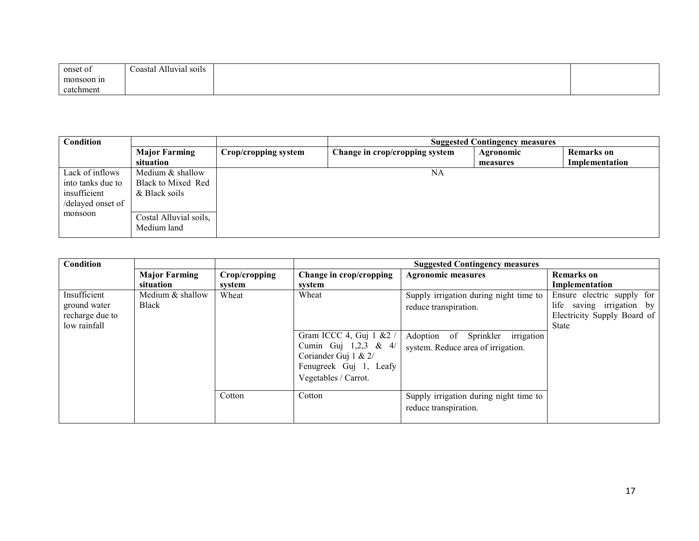| onset of   | Alluvial soils<br>$\sim$<br>Coastal |  |
|------------|-------------------------------------|--|
| monsoon in |                                     |  |
| catchment  |                                     |  |

| Condition         |                                       |                      |                                | <b>Suggested Contingency measures</b> |                |
|-------------------|---------------------------------------|----------------------|--------------------------------|---------------------------------------|----------------|
|                   | <b>Major Farming</b>                  | Crop/cropping system | Change in crop/cropping system | Agronomic                             | Remarks on     |
|                   | situation                             |                      |                                | measures                              | Implementation |
| Lack of inflows   | Medium & shallow                      |                      | NA                             |                                       |                |
| into tanks due to | Black to Mixed Red                    |                      |                                |                                       |                |
| insufficient      | & Black soils                         |                      |                                |                                       |                |
| /delayed onset of |                                       |                      |                                |                                       |                |
| monsoon           | Costal Alluvial soils,<br>Medium land |                      |                                |                                       |                |

| Condition                                                       |                                   |                         |                                                                                                                                     | <b>Suggested Contingency measures</b>                                                                                                        |                                                                                                        |
|-----------------------------------------------------------------|-----------------------------------|-------------------------|-------------------------------------------------------------------------------------------------------------------------------------|----------------------------------------------------------------------------------------------------------------------------------------------|--------------------------------------------------------------------------------------------------------|
|                                                                 | <b>Major Farming</b><br>situation | Crop/cropping<br>system | Change in crop/cropping<br>system                                                                                                   | <b>Agronomic measures</b>                                                                                                                    | <b>Remarks</b> on<br>Implementation                                                                    |
| Insufficient<br>ground water<br>recharge due to<br>low rainfall | Medium & shallow<br>Black         | Wheat                   | Wheat<br>Gram ICCC 4, Guj 1 & 2 /<br>Cumin Guj 1,2,3 & 4/<br>Coriander Guj 1 & 2/<br>Fenugreek Guj 1, Leafy<br>Vegetables / Carrot. | Supply irrigation during night time to<br>reduce transpiration.<br>irrigation<br>Adoption of Sprinkler<br>system. Reduce area of irrigation. | Ensure electric supply for<br>life saving irrigation by<br>Electricity Supply Board of<br><b>State</b> |
|                                                                 |                                   | Cotton                  | Cotton                                                                                                                              | Supply irrigation during night time to<br>reduce transpiration.                                                                              |                                                                                                        |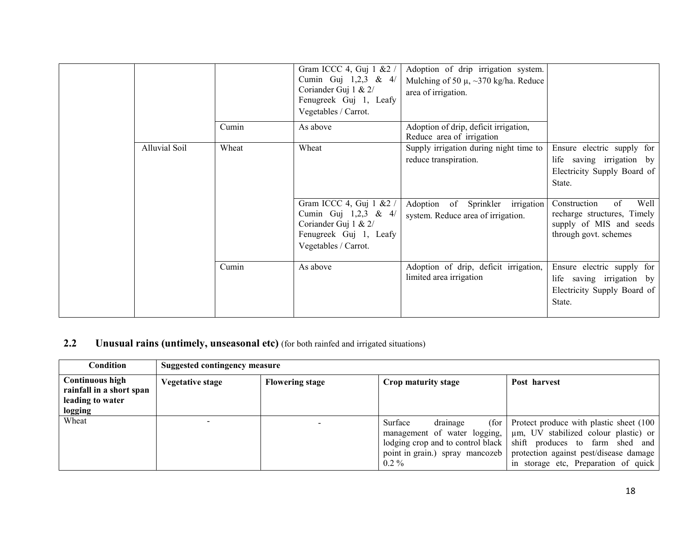|               |       | Gram ICCC 4, Guj 1 & 2 /<br>Cumin Guj $1,2,3$ & $4/$<br>Coriander Guj 1 & 2/<br>Fenugreek Guj 1, Leafy<br>Vegetables / Carrot. | Adoption of drip irrigation system.<br>Mulching of 50 $\mu$ , ~370 kg/ha. Reduce<br>area of irrigation. |                                                                                                                     |
|---------------|-------|--------------------------------------------------------------------------------------------------------------------------------|---------------------------------------------------------------------------------------------------------|---------------------------------------------------------------------------------------------------------------------|
|               | Cumin | As above                                                                                                                       | Adoption of drip, deficit irrigation,<br>Reduce area of irrigation                                      |                                                                                                                     |
| Alluvial Soil | Wheat | Wheat                                                                                                                          | Supply irrigation during night time to<br>reduce transpiration.                                         | Ensure electric supply for<br>life saving irrigation by<br>Electricity Supply Board of<br>State.                    |
|               |       | Gram ICCC 4, Guj 1 & 2 /<br>Cumin Guj 1,2,3 & 4/<br>Coriander Guj 1 & 2/<br>Fenugreek Guj 1, Leafy<br>Vegetables / Carrot.     | Adoption of Sprinkler irrigation<br>system. Reduce area of irrigation.                                  | Well<br>Construction<br>$\sigma$<br>recharge structures, Timely<br>supply of MIS and seeds<br>through govt. schemes |
|               | Cumin | As above                                                                                                                       | Adoption of drip, deficit irrigation,<br>limited area irrigation                                        | Ensure electric supply for<br>life saving irrigation by<br>Electricity Supply Board of<br>State.                    |

#### 2.2Unusual rains (untimely, unseasonal etc) (for both rainfed and irrigated situations)

| Condition                                                                         | Suggested contingency measure |                        |                                                                                                                |                                                                                                                                                                                                                                      |  |  |
|-----------------------------------------------------------------------------------|-------------------------------|------------------------|----------------------------------------------------------------------------------------------------------------|--------------------------------------------------------------------------------------------------------------------------------------------------------------------------------------------------------------------------------------|--|--|
| <b>Continuous high</b><br>rainfall in a short span<br>leading to water<br>logging | Vegetative stage              | <b>Flowering stage</b> | Crop maturity stage                                                                                            | Post harvest                                                                                                                                                                                                                         |  |  |
| Wheat                                                                             |                               |                        | drainage<br>Surface<br>(for<br>lodging crop and to control black<br>point in grain.) spray mancozeb<br>$0.2\%$ | Protect produce with plastic sheet (100)<br>management of water logging,   µm, UV stabilized colour plastic) or<br>shift produces to farm shed and<br>protection against pest/disease damage<br>in storage etc, Preparation of quick |  |  |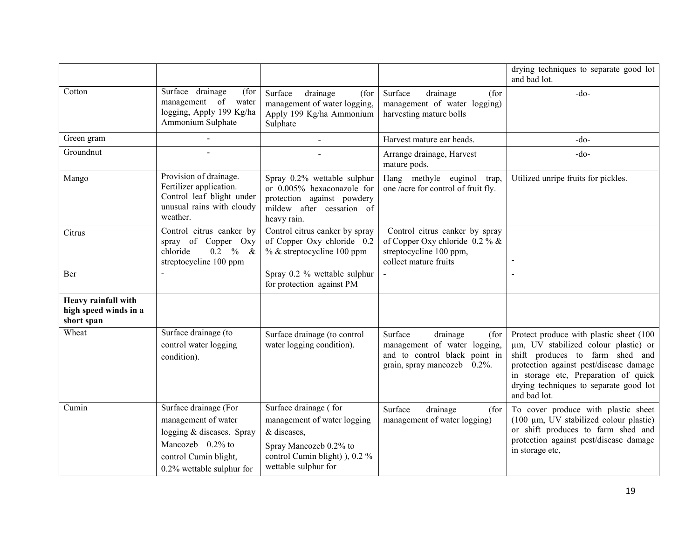|                                                            |                                                                                                                                                     |                                                                                                                                                         |                                                                                                                             | drying techniques to separate good lot<br>and bad lot.                                                                                                                                                                                                         |
|------------------------------------------------------------|-----------------------------------------------------------------------------------------------------------------------------------------------------|---------------------------------------------------------------------------------------------------------------------------------------------------------|-----------------------------------------------------------------------------------------------------------------------------|----------------------------------------------------------------------------------------------------------------------------------------------------------------------------------------------------------------------------------------------------------------|
| Cotton                                                     | Surface drainage<br>(for<br>management of water<br>logging, Apply 199 Kg/ha<br>Ammonium Sulphate                                                    | Surface<br>drainage<br>(for<br>management of water logging,<br>Apply 199 Kg/ha Ammonium<br>Sulphate                                                     | Surface<br>drainage<br>(for<br>management of water logging)<br>harvesting mature bolls                                      | $-do-$                                                                                                                                                                                                                                                         |
| Green gram                                                 |                                                                                                                                                     |                                                                                                                                                         | Harvest mature ear heads.                                                                                                   | $-do-$                                                                                                                                                                                                                                                         |
| Groundnut                                                  |                                                                                                                                                     |                                                                                                                                                         | Arrange drainage, Harvest<br>mature pods.                                                                                   | $-do-$                                                                                                                                                                                                                                                         |
| Mango                                                      | Provision of drainage.<br>Fertilizer application.<br>Control leaf blight under<br>unusual rains with cloudy<br>weather.                             | Spray 0.2% wettable sulphur<br>or 0.005% hexaconazole for<br>protection against powdery<br>mildew after cessation of<br>heavy rain.                     | Hang methyle euginol trap,<br>one /acre for control of fruit fly.                                                           | Utilized unripe fruits for pickles.                                                                                                                                                                                                                            |
| Citrus                                                     | Control citrus canker by<br>spray of Copper Oxy<br>$0.2 \t% \t&$<br>chloride<br>streptocycline 100 ppm                                              | Control citrus canker by spray<br>of Copper Oxy chloride 0.2<br>% & streptocycline 100 ppm                                                              | Control citrus canker by spray<br>of Copper Oxy chloride $0.2\%$ &<br>streptocycline 100 ppm,<br>collect mature fruits      |                                                                                                                                                                                                                                                                |
| Ber                                                        |                                                                                                                                                     | Spray 0.2 % wettable sulphur<br>for protection against PM                                                                                               |                                                                                                                             |                                                                                                                                                                                                                                                                |
| Heavy rainfall with<br>high speed winds in a<br>short span |                                                                                                                                                     |                                                                                                                                                         |                                                                                                                             |                                                                                                                                                                                                                                                                |
| Wheat                                                      | Surface drainage (to<br>control water logging<br>condition).                                                                                        | Surface drainage (to control<br>water logging condition).                                                                                               | Surface<br>drainage<br>(for<br>management of water logging,<br>and to control black point in<br>grain, spray mancozeb 0.2%. | Protect produce with plastic sheet (100<br>µm, UV stabilized colour plastic) or<br>shift produces to farm shed and<br>protection against pest/disease damage<br>in storage etc, Preparation of quick<br>drying techniques to separate good lot<br>and bad lot. |
| Cumin                                                      | Surface drainage (For<br>management of water<br>logging & diseases. Spray<br>Mancozeb 0.2% to<br>control Cumin blight,<br>0.2% wettable sulphur for | Surface drainage (for<br>management of water logging<br>& diseases,<br>Spray Mancozeb 0.2% to<br>control Cumin blight) ), 0.2 %<br>wettable sulphur for | Surface<br>drainage<br>(for<br>management of water logging)                                                                 | To cover produce with plastic sheet<br>(100 µm, UV stabilized colour plastic)<br>or shift produces to farm shed and<br>protection against pest/disease damage<br>in storage etc,                                                                               |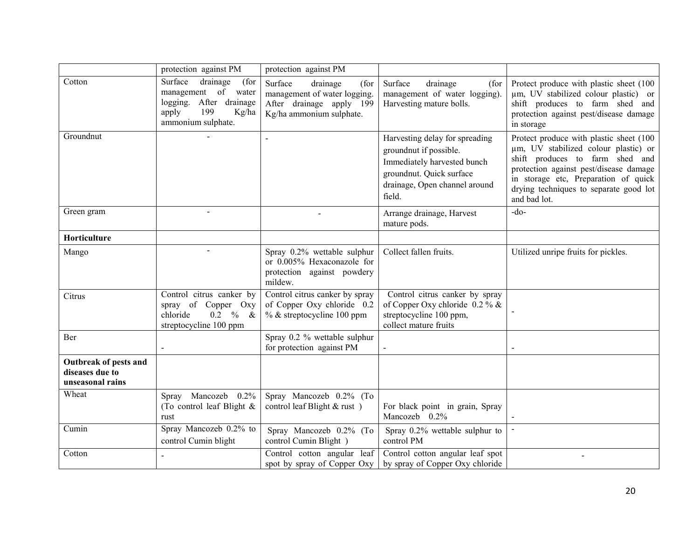|                                                              | protection against PM                                                                                                           | protection against PM                                                                                               |                                                                                                                                                                |                                                                                                                                                                                                                                                                |
|--------------------------------------------------------------|---------------------------------------------------------------------------------------------------------------------------------|---------------------------------------------------------------------------------------------------------------------|----------------------------------------------------------------------------------------------------------------------------------------------------------------|----------------------------------------------------------------------------------------------------------------------------------------------------------------------------------------------------------------------------------------------------------------|
| Cotton                                                       | drainage<br>Surface<br>(for<br>management of water<br>logging.<br>After drainage<br>apply<br>199<br>Kg/ha<br>ammonium sulphate. | Surface<br>drainage<br>(for<br>management of water logging.<br>After drainage apply 199<br>Kg/ha ammonium sulphate. | Surface<br>drainage<br>(for<br>management of water logging).<br>Harvesting mature bolls.                                                                       | Protect produce with plastic sheet (100)<br>um, UV stabilized colour plastic) or<br>shift produces to farm shed and<br>protection against pest/disease damage<br>in storage                                                                                    |
| Groundnut                                                    |                                                                                                                                 |                                                                                                                     | Harvesting delay for spreading<br>groundnut if possible.<br>Immediately harvested bunch<br>groundnut. Quick surface<br>drainage, Open channel around<br>field. | Protect produce with plastic sheet (100<br>µm, UV stabilized colour plastic) or<br>shift produces to farm shed and<br>protection against pest/disease damage<br>in storage etc, Preparation of quick<br>drying techniques to separate good lot<br>and bad lot. |
| Green gram                                                   | $\blacksquare$                                                                                                                  |                                                                                                                     | Arrange drainage, Harvest<br>mature pods.                                                                                                                      | $-do-$                                                                                                                                                                                                                                                         |
| Horticulture                                                 |                                                                                                                                 |                                                                                                                     |                                                                                                                                                                |                                                                                                                                                                                                                                                                |
| Mango                                                        |                                                                                                                                 | Spray 0.2% wettable sulphur<br>or 0.005% Hexaconazole for<br>protection against powdery<br>mildew.                  | Collect fallen fruits.                                                                                                                                         | Utilized unripe fruits for pickles.                                                                                                                                                                                                                            |
| Citrus                                                       | Control citrus canker by<br>spray of Copper Oxy<br>$0.2 \t%$<br>chloride<br>$\alpha$<br>streptocycline 100 ppm                  | Control citrus canker by spray<br>of Copper Oxy chloride 0.2<br>$%$ & streptocycline 100 ppm                        | Control citrus canker by spray<br>of Copper Oxy chloride $0.2\%$ &<br>streptocycline 100 ppm,<br>collect mature fruits                                         |                                                                                                                                                                                                                                                                |
| Ber                                                          |                                                                                                                                 | Spray 0.2 % wettable sulphur<br>for protection against PM                                                           | $\overline{a}$                                                                                                                                                 |                                                                                                                                                                                                                                                                |
| Outbreak of pests and<br>diseases due to<br>unseasonal rains |                                                                                                                                 |                                                                                                                     |                                                                                                                                                                |                                                                                                                                                                                                                                                                |
| Wheat                                                        | Spray Mancozeb 0.2%<br>(To control leaf Blight $\&$<br>rust                                                                     | Spray Mancozeb 0.2% (To<br>control leaf Blight & rust)                                                              | For black point in grain, Spray<br>Mancozeb 0.2%                                                                                                               |                                                                                                                                                                                                                                                                |
| Cumin                                                        | Spray Mancozeb 0.2% to<br>control Cumin blight                                                                                  | Spray Mancozeb 0.2% (To<br>control Cumin Blight)                                                                    | Spray 0.2% wettable sulphur to<br>control PM                                                                                                                   |                                                                                                                                                                                                                                                                |
| Cotton                                                       |                                                                                                                                 | Control cotton angular leaf<br>spot by spray of Copper Oxy                                                          | Control cotton angular leaf spot<br>by spray of Copper Oxy chloride                                                                                            | $\overline{\phantom{0}}$                                                                                                                                                                                                                                       |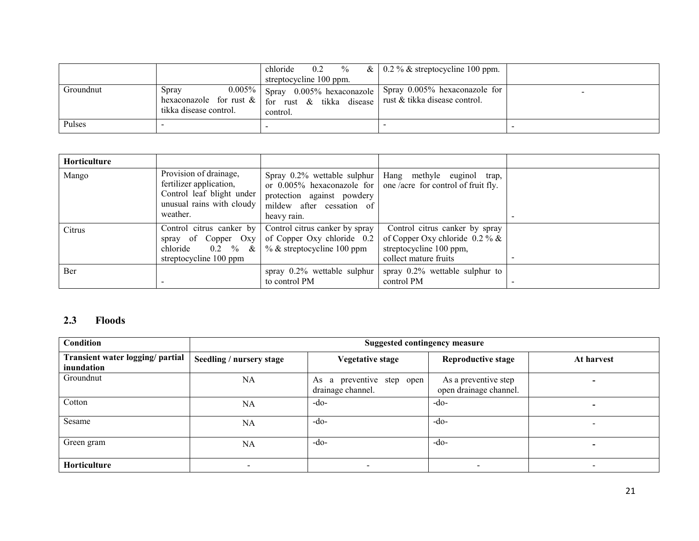|           |                                 | chloride<br>$\%$<br>0.2<br>streptocycline 100 ppm.                                                              | & $\vert$ 0.2 % & streptocycline 100 ppm.                      |  |
|-----------|---------------------------------|-----------------------------------------------------------------------------------------------------------------|----------------------------------------------------------------|--|
| Groundnut | Spray<br>tikka disease control. | $0.005\%$ Spray 0.005% hexaconazole  <br>hexaconazole for rust $\&$   for rust $\&$ tikka disease  <br>control. | Spray 0.005% hexaconazole for<br>rust & tikka disease control. |  |
| Pulses    |                                 |                                                                                                                 |                                                                |  |

| Horticulture |                                                                                                                         |                                                                                                                       |                                                                                                                              |  |
|--------------|-------------------------------------------------------------------------------------------------------------------------|-----------------------------------------------------------------------------------------------------------------------|------------------------------------------------------------------------------------------------------------------------------|--|
| Mango        | Provision of drainage,<br>fertilizer application,<br>Control leaf blight under<br>unusual rains with cloudy<br>weather. | protection against powdery<br>mildew after cessation of<br>heavy rain.                                                | Spray 0.2% wettable sulphur   Hang methyle euginol trap,<br>or $0.005\%$ hexaconazole for one/acre for control of fruit fly. |  |
| Citrus       | spray of Copper Oxy<br>chloride<br>$0.2 \t% \& \t$<br>streptocycline 100 ppm                                            | Control citrus canker by Control citrus canker by spray<br>of Copper Oxy chloride 0.2<br>$%$ & streptocycline 100 ppm | Control citrus canker by spray<br>of Copper Oxy chloride $0.2\%$ &<br>streptocycline 100 ppm,<br>collect mature fruits       |  |
| Ber          |                                                                                                                         | spray $0.2\%$ wettable sulphur<br>to control PM                                                                       | spray $0.2\%$ wettable sulphur to<br>control PM                                                                              |  |

# 2.3 Floods

| Condition                                      | <b>Suggested contingency measure</b> |                                                |                                                |            |  |
|------------------------------------------------|--------------------------------------|------------------------------------------------|------------------------------------------------|------------|--|
| Transient water logging/ partial<br>inundation | Seedling / nursery stage             | <b>Vegetative stage</b>                        | <b>Reproductive stage</b>                      | At harvest |  |
| Groundnut                                      | <b>NA</b>                            | As a preventive step open<br>drainage channel. | As a preventive step<br>open drainage channel. |            |  |
| Cotton                                         | <b>NA</b>                            | $-do-$                                         | -do-                                           |            |  |
| Sesame                                         | NA                                   | $-do-$                                         | -do-                                           |            |  |
| Green gram                                     | <b>NA</b>                            | $-do-$                                         | -do-                                           |            |  |
| Horticulture                                   |                                      |                                                |                                                |            |  |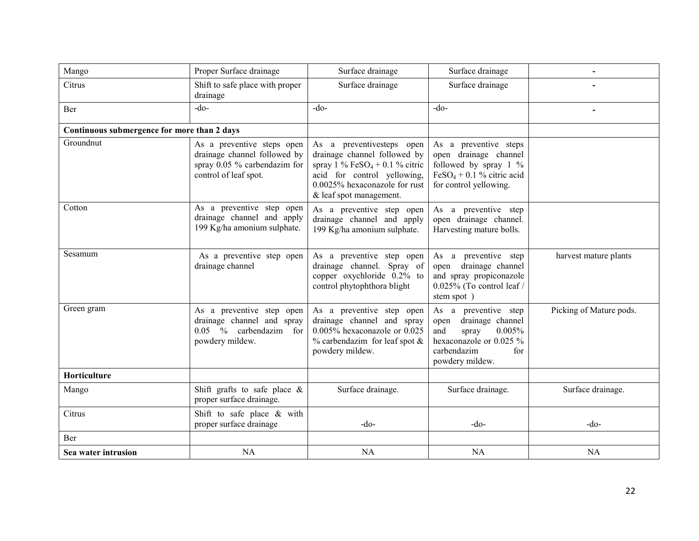| Mango                                       | Proper Surface drainage                                                                                             | Surface drainage                                                                                                                                                                                    | Surface drainage                                                                                                                               |                         |
|---------------------------------------------|---------------------------------------------------------------------------------------------------------------------|-----------------------------------------------------------------------------------------------------------------------------------------------------------------------------------------------------|------------------------------------------------------------------------------------------------------------------------------------------------|-------------------------|
| Citrus                                      | Shift to safe place with proper<br>drainage                                                                         | Surface drainage                                                                                                                                                                                    | Surface drainage                                                                                                                               |                         |
| Ber                                         | $-do-$                                                                                                              | $-do-$                                                                                                                                                                                              | $-do$                                                                                                                                          |                         |
| Continuous submergence for more than 2 days |                                                                                                                     |                                                                                                                                                                                                     |                                                                                                                                                |                         |
| Groundnut                                   | As a preventive steps open<br>drainage channel followed by<br>spray 0.05 % carbendazim for<br>control of leaf spot. | As a preventive steps open<br>drainage channel followed by<br>spray 1 % FeSO <sub>4</sub> + 0.1 % citric<br>acid for control yellowing,<br>0.0025% hexaconazole for rust<br>& leaf spot management. | As a preventive steps<br>open drainage channel<br>followed by spray $1\%$<br>$FeSO4 + 0.1$ % citric acid<br>for control yellowing.             |                         |
| Cotton                                      | As a preventive step open<br>drainage channel and apply<br>199 Kg/ha amonium sulphate.                              | As a preventive step open<br>drainage channel and apply<br>199 Kg/ha amonium sulphate.                                                                                                              | As a preventive step<br>open drainage channel.<br>Harvesting mature bolls.                                                                     |                         |
| Sesamum                                     | As a preventive step open<br>drainage channel                                                                       | As a preventive step open<br>drainage channel. Spray of<br>copper oxychloride 0.2% to<br>control phytophthora blight                                                                                | As a preventive step<br>open drainage channel<br>and spray propiconazole<br>0.025% (To control leaf /<br>stem spot)                            | harvest mature plants   |
| Green gram                                  | As a preventive step open<br>drainage channel and spray<br>0.05 % carbendazim for<br>powdery mildew.                | As a preventive step open<br>drainage channel and spray<br>0.005% hexaconazole or 0.025<br>$%$ carbendazim for leaf spot $&$<br>powdery mildew.                                                     | As a preventive step<br>drainage channel<br>open<br>0.005%<br>and<br>spray<br>hexaconazole or 0.025 %<br>carbendazim<br>for<br>powdery mildew. | Picking of Mature pods. |
| Horticulture                                |                                                                                                                     |                                                                                                                                                                                                     |                                                                                                                                                |                         |
| Mango                                       | Shift grafts to safe place $\&$<br>proper surface drainage.                                                         | Surface drainage.                                                                                                                                                                                   | Surface drainage.                                                                                                                              | Surface drainage.       |
| Citrus                                      | Shift to safe place & with<br>proper surface drainage                                                               | $-do$ -                                                                                                                                                                                             | $-do-$                                                                                                                                         | $-do-$                  |
| Ber                                         |                                                                                                                     |                                                                                                                                                                                                     |                                                                                                                                                |                         |
| Sea water intrusion                         | NA                                                                                                                  | <b>NA</b>                                                                                                                                                                                           | NA                                                                                                                                             | NA                      |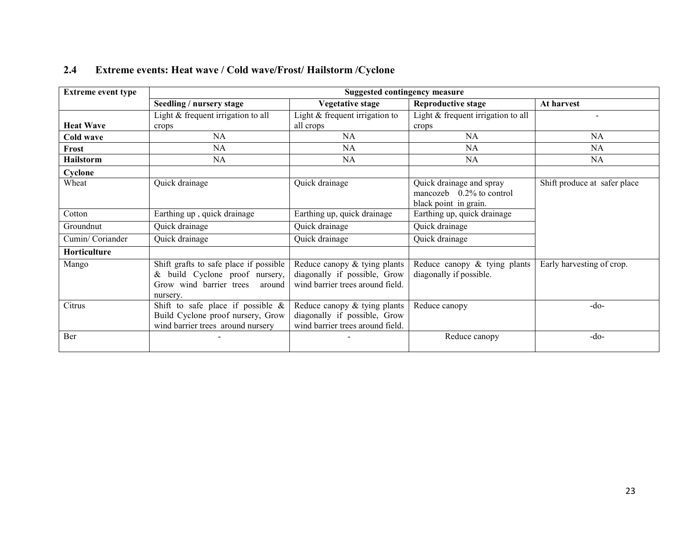| <b>Extreme event type</b> |                                                                                                                        | <b>Suggested contingency measure</b>                                                             |                                                                                  |                              |
|---------------------------|------------------------------------------------------------------------------------------------------------------------|--------------------------------------------------------------------------------------------------|----------------------------------------------------------------------------------|------------------------------|
|                           | Seedling / nursery stage                                                                                               | <b>Vegetative stage</b>                                                                          | <b>Reproductive stage</b>                                                        | At harvest                   |
|                           | Light & frequent irrigation to all                                                                                     | Light $&$ frequent irrigation to                                                                 | Light & frequent irrigation to all                                               |                              |
| <b>Heat Wave</b>          | crops                                                                                                                  | all crops                                                                                        | crops                                                                            |                              |
| Cold wave                 | <b>NA</b>                                                                                                              | NA                                                                                               | NA                                                                               | NA                           |
| Frost                     | NA                                                                                                                     | NA                                                                                               | NA                                                                               | NA                           |
| <b>Hailstorm</b>          | NA                                                                                                                     | NA                                                                                               | NA                                                                               | NA                           |
| Cyclone                   |                                                                                                                        |                                                                                                  |                                                                                  |                              |
| Wheat                     | Quick drainage                                                                                                         | Quick drainage                                                                                   | Quick drainage and spray<br>mancozeb $0.2\%$ to control<br>black point in grain. | Shift produce at safer place |
| Cotton                    | Earthing up, quick drainage                                                                                            | Earthing up, quick drainage                                                                      | Earthing up, quick drainage                                                      |                              |
| Groundnut                 | Quick drainage                                                                                                         | Quick drainage                                                                                   | Quick drainage                                                                   |                              |
| Cumin/Coriander           | Quick drainage                                                                                                         | Quick drainage                                                                                   | Quick drainage                                                                   |                              |
| Horticulture              |                                                                                                                        |                                                                                                  |                                                                                  |                              |
| Mango                     | Shift grafts to safe place if possible<br>& build Cyclone proof nursery,<br>Grow wind barrier trees around<br>nursery. | Reduce canopy & tying plants<br>diagonally if possible, Grow<br>wind barrier trees around field. | Reduce canopy & tying plants<br>diagonally if possible.                          | Early harvesting of crop.    |
| Citrus                    | Shift to safe place if possible $\&$<br>Build Cyclone proof nursery, Grow<br>wind barrier trees around nursery         | Reduce canopy & tying plants<br>diagonally if possible, Grow<br>wind barrier trees around field. | Reduce canopy                                                                    | $-do-$                       |
| Ber                       |                                                                                                                        |                                                                                                  | Reduce canopy                                                                    | $-do-$                       |

#### 2.4Extreme events: Heat wave / Cold wave/Frost/ Hailstorm /Cyclone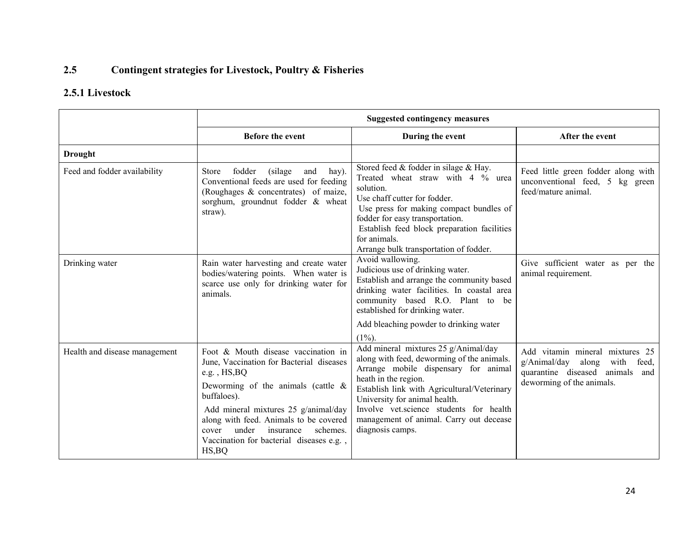#### 2.5Contingent strategies for Livestock, Poultry & Fisheries

# 2.5.1 Livestock

|                               |                                                                                                                                                                                                                                                                                                                                                 | <b>Suggested contingency measures</b>                                                                                                                                                                                                                                                                                                                     |                                                                                                                                                 |
|-------------------------------|-------------------------------------------------------------------------------------------------------------------------------------------------------------------------------------------------------------------------------------------------------------------------------------------------------------------------------------------------|-----------------------------------------------------------------------------------------------------------------------------------------------------------------------------------------------------------------------------------------------------------------------------------------------------------------------------------------------------------|-------------------------------------------------------------------------------------------------------------------------------------------------|
|                               | <b>Before the event</b>                                                                                                                                                                                                                                                                                                                         | During the event                                                                                                                                                                                                                                                                                                                                          | After the event                                                                                                                                 |
| <b>Drought</b>                |                                                                                                                                                                                                                                                                                                                                                 |                                                                                                                                                                                                                                                                                                                                                           |                                                                                                                                                 |
| Feed and fodder availability  | Store<br>fodder<br>(silage)<br>and<br>hay).<br>Conventional feeds are used for feeding<br>(Roughages & concentrates) of maize,<br>sorghum, groundnut fodder & wheat<br>straw).                                                                                                                                                                  | Stored feed & fodder in silage & Hay.<br>Treated wheat straw with 4 % urea<br>solution.<br>Use chaff cutter for fodder.<br>Use press for making compact bundles of<br>fodder for easy transportation.<br>Establish feed block preparation facilities<br>for animals.<br>Arrange bulk transportation of fodder.                                            | Feed little green fodder along with<br>unconventional feed, 5 kg green<br>feed/mature animal.                                                   |
| Drinking water                | Rain water harvesting and create water<br>bodies/watering points. When water is<br>scarce use only for drinking water for<br>animals.                                                                                                                                                                                                           | Avoid wallowing.<br>Judicious use of drinking water.<br>Establish and arrange the community based<br>drinking water facilities. In coastal area<br>community based R.O. Plant to be<br>established for drinking water.<br>Add bleaching powder to drinking water                                                                                          | Give sufficient water as per the<br>animal requirement.                                                                                         |
| Health and disease management | Foot & Mouth disease vaccination in<br>June, Vaccination for Bacterial diseases<br>e.g., $HS$ , $BO$<br>Deworming of the animals (cattle $\&$<br>buffaloes).<br>Add mineral mixtures 25 g/animal/day<br>along with feed. Animals to be covered<br>under<br>schemes.<br>insurance<br>cover<br>Vaccination for bacterial diseases e.g.,<br>HS, BO | $(1\%)$ .<br>Add mineral mixtures 25 g/Animal/day<br>along with feed, deworming of the animals.<br>Arrange mobile dispensary for animal<br>heath in the region.<br>Establish link with Agricultural/Veterinary<br>University for animal health.<br>Involve vet.science students for health<br>management of animal. Carry out decease<br>diagnosis camps. | Add vitamin mineral mixtures 25<br>g/Animal/day<br>along<br>with<br>feed,<br>quarantine diseased<br>animals<br>and<br>deworming of the animals. |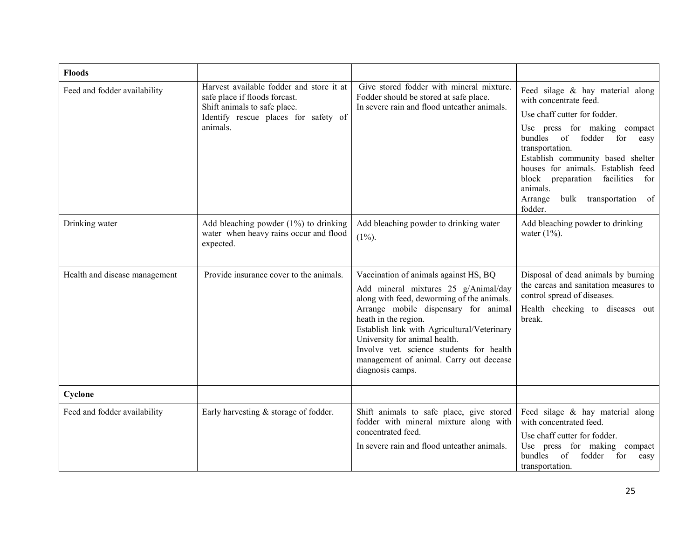| <b>Floods</b>                 |                                                                                                                                                               |                                                                                                                                                                                                                                                                                                                                                                                        |                                                                                                                                                                                                                                                                                                                                                                       |
|-------------------------------|---------------------------------------------------------------------------------------------------------------------------------------------------------------|----------------------------------------------------------------------------------------------------------------------------------------------------------------------------------------------------------------------------------------------------------------------------------------------------------------------------------------------------------------------------------------|-----------------------------------------------------------------------------------------------------------------------------------------------------------------------------------------------------------------------------------------------------------------------------------------------------------------------------------------------------------------------|
| Feed and fodder availability  | Harvest available fodder and store it at<br>safe place if floods forcast.<br>Shift animals to safe place.<br>Identify rescue places for safety of<br>animals. | Give stored fodder with mineral mixture.<br>Fodder should be stored at safe place.<br>In severe rain and flood unteather animals.                                                                                                                                                                                                                                                      | Feed silage & hay material along<br>with concentrate feed.<br>Use chaff cutter for fodder.<br>Use press for making compact<br>bundles<br>of<br>fodder for<br>easy<br>transportation.<br>Establish community based shelter<br>houses for animals. Establish feed<br>block preparation facilities<br>for<br>animals.<br>Arrange<br>bulk<br>transportation of<br>fodder. |
| Drinking water                | Add bleaching powder $(1%)$ to drinking<br>water when heavy rains occur and flood<br>expected.                                                                | Add bleaching powder to drinking water<br>$(1\%)$ .                                                                                                                                                                                                                                                                                                                                    | Add bleaching powder to drinking<br>water $(1\%)$ .                                                                                                                                                                                                                                                                                                                   |
| Health and disease management | Provide insurance cover to the animals.                                                                                                                       | Vaccination of animals against HS, BQ<br>Add mineral mixtures 25 g/Animal/day<br>along with feed, deworming of the animals.<br>Arrange mobile dispensary for animal<br>heath in the region.<br>Establish link with Agricultural/Veterinary<br>University for animal health.<br>Involve vet. science students for health<br>management of animal. Carry out decease<br>diagnosis camps. | Disposal of dead animals by burning<br>the carcas and sanitation measures to<br>control spread of diseases.<br>Health checking to diseases out<br>break.                                                                                                                                                                                                              |
| Cyclone                       |                                                                                                                                                               |                                                                                                                                                                                                                                                                                                                                                                                        |                                                                                                                                                                                                                                                                                                                                                                       |
| Feed and fodder availability  | Early harvesting $&$ storage of fodder.                                                                                                                       | Shift animals to safe place, give stored<br>fodder with mineral mixture along with<br>concentrated feed.<br>In severe rain and flood unteather animals.                                                                                                                                                                                                                                | Feed silage & hay material along<br>with concentrated feed.<br>Use chaff cutter for fodder.<br>Use press for making<br>compact<br>bundles<br>of<br>fodder<br>for<br>easy<br>transportation.                                                                                                                                                                           |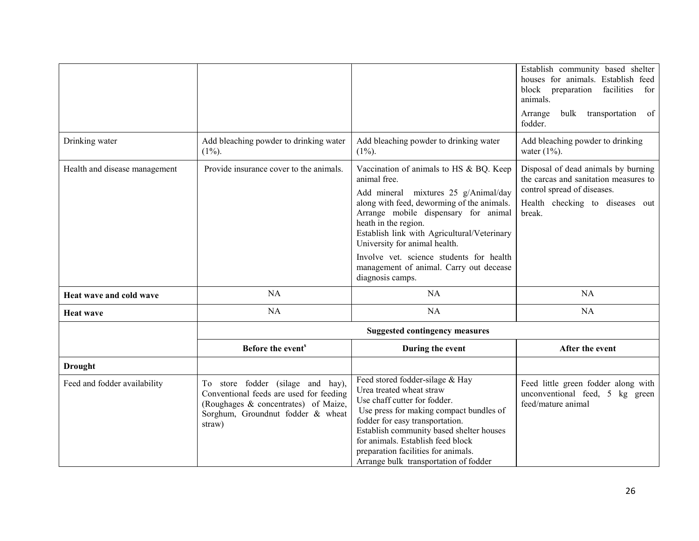|                               |                                                                                                                                                                     |                                                                                                                                                                                                                                                                                                                                                                                                          | Establish community based shelter<br>houses for animals. Establish feed<br>block<br>facilities<br>preparation<br>for<br>animals.<br>transportation of<br>bulk<br>Arrange<br>fodder. |
|-------------------------------|---------------------------------------------------------------------------------------------------------------------------------------------------------------------|----------------------------------------------------------------------------------------------------------------------------------------------------------------------------------------------------------------------------------------------------------------------------------------------------------------------------------------------------------------------------------------------------------|-------------------------------------------------------------------------------------------------------------------------------------------------------------------------------------|
| Drinking water                | Add bleaching powder to drinking water<br>$(1\%)$ .                                                                                                                 | Add bleaching powder to drinking water<br>$(1\%)$ .                                                                                                                                                                                                                                                                                                                                                      | Add bleaching powder to drinking<br>water $(1\%)$ .                                                                                                                                 |
| Health and disease management | Provide insurance cover to the animals.                                                                                                                             | Vaccination of animals to HS & BQ. Keep<br>animal free.<br>Add mineral mixtures 25 g/Animal/day<br>along with feed, deworming of the animals.<br>Arrange mobile dispensary for animal<br>heath in the region.<br>Establish link with Agricultural/Veterinary<br>University for animal health.<br>Involve vet. science students for health<br>management of animal. Carry out decease<br>diagnosis camps. | Disposal of dead animals by burning<br>the carcas and sanitation measures to<br>control spread of diseases.<br>Health checking to diseases out<br>break.                            |
| Heat wave and cold wave       | NA                                                                                                                                                                  | NA                                                                                                                                                                                                                                                                                                                                                                                                       | NA                                                                                                                                                                                  |
| <b>Heat wave</b>              | NA                                                                                                                                                                  | NA                                                                                                                                                                                                                                                                                                                                                                                                       | <b>NA</b>                                                                                                                                                                           |
|                               |                                                                                                                                                                     | <b>Suggested contingency measures</b>                                                                                                                                                                                                                                                                                                                                                                    |                                                                                                                                                                                     |
|                               | Before the event <sup>s</sup>                                                                                                                                       | During the event                                                                                                                                                                                                                                                                                                                                                                                         | After the event                                                                                                                                                                     |
| <b>Drought</b>                |                                                                                                                                                                     |                                                                                                                                                                                                                                                                                                                                                                                                          |                                                                                                                                                                                     |
| Feed and fodder availability  | To store fodder (silage and hay),<br>Conventional feeds are used for feeding<br>(Roughages & concentrates) of Maize,<br>Sorghum, Groundnut fodder & wheat<br>straw) | Feed stored fodder-silage & Hay<br>Urea treated wheat straw<br>Use chaff cutter for fodder.<br>Use press for making compact bundles of<br>fodder for easy transportation.<br>Establish community based shelter houses<br>for animals. Establish feed block<br>preparation facilities for animals.<br>Arrange bulk transportation of fodder                                                               | Feed little green fodder along with<br>unconventional feed, 5 kg green<br>feed/mature animal                                                                                        |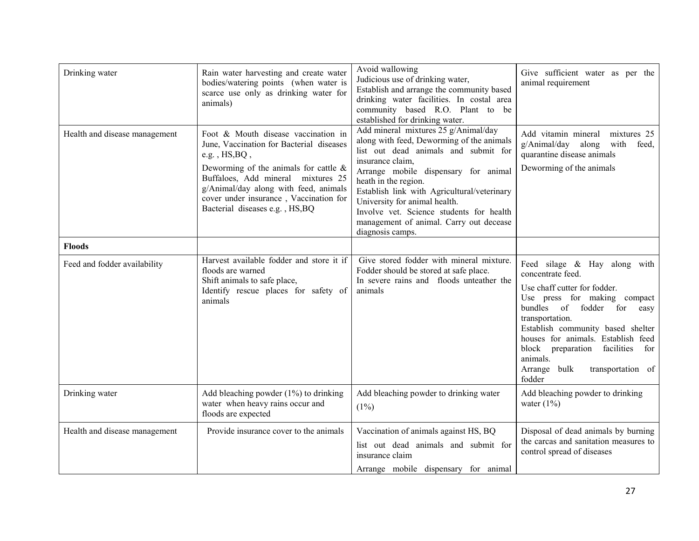| Drinking water                | Rain water harvesting and create water<br>bodies/watering points (when water is<br>scarce use only as drinking water for<br>animals)                                                                                                                                                                           | Avoid wallowing<br>Judicious use of drinking water,<br>Establish and arrange the community based<br>drinking water facilities. In costal area<br>community based R.O. Plant to be<br>established for drinking water.                                                                                                                                                                                     | Give sufficient water as per the<br>animal requirement                                                                                                                                                                                                                                                                                                      |
|-------------------------------|----------------------------------------------------------------------------------------------------------------------------------------------------------------------------------------------------------------------------------------------------------------------------------------------------------------|----------------------------------------------------------------------------------------------------------------------------------------------------------------------------------------------------------------------------------------------------------------------------------------------------------------------------------------------------------------------------------------------------------|-------------------------------------------------------------------------------------------------------------------------------------------------------------------------------------------------------------------------------------------------------------------------------------------------------------------------------------------------------------|
| Health and disease management | Foot & Mouth disease vaccination in<br>June, Vaccination for Bacterial diseases<br>e.g., $HS$ , $BQ$ ,<br>Deworming of the animals for cattle $\&$<br>Buffaloes, Add mineral mixtures 25<br>g/Animal/day along with feed, animals<br>cover under insurance, Vaccination for<br>Bacterial diseases e.g., HS, BQ | Add mineral mixtures 25 g/Animal/day<br>along with feed, Deworming of the animals<br>list out dead animals and submit for<br>insurance claim,<br>Arrange mobile dispensary for animal<br>heath in the region.<br>Establish link with Agricultural/veterinary<br>University for animal health.<br>Involve vet. Science students for health<br>management of animal. Carry out decease<br>diagnosis camps. | Add vitamin mineral<br>mixtures 25<br>g/Animal/day along<br>with<br>feed,<br>quarantine disease animals<br>Deworming of the animals                                                                                                                                                                                                                         |
| <b>Floods</b>                 |                                                                                                                                                                                                                                                                                                                |                                                                                                                                                                                                                                                                                                                                                                                                          |                                                                                                                                                                                                                                                                                                                                                             |
| Feed and fodder availability  | Harvest available fodder and store it if<br>floods are warned<br>Shift animals to safe place,<br>Identify rescue places for safety of<br>animals                                                                                                                                                               | Give stored fodder with mineral mixture.<br>Fodder should be stored at safe place.<br>In severe rains and floods unteather the<br>animals                                                                                                                                                                                                                                                                | Feed silage $\&$ Hay along with<br>concentrate feed.<br>Use chaff cutter for fodder.<br>Use press for making compact<br>bundles of<br>fodder for<br>easy<br>transportation.<br>Establish community based shelter<br>houses for animals. Establish feed<br>block preparation<br>facilities<br>for<br>animals.<br>Arrange bulk<br>transportation of<br>fodder |
| Drinking water                | Add bleaching powder (1%) to drinking<br>water when heavy rains occur and<br>floods are expected                                                                                                                                                                                                               | Add bleaching powder to drinking water<br>$(1\%)$                                                                                                                                                                                                                                                                                                                                                        | Add bleaching powder to drinking<br>water $(1\%)$                                                                                                                                                                                                                                                                                                           |
| Health and disease management | Provide insurance cover to the animals                                                                                                                                                                                                                                                                         | Vaccination of animals against HS, BQ<br>list out dead animals and submit for<br>insurance claim<br>Arrange mobile dispensary for animal                                                                                                                                                                                                                                                                 | Disposal of dead animals by burning<br>the carcas and sanitation measures to<br>control spread of diseases                                                                                                                                                                                                                                                  |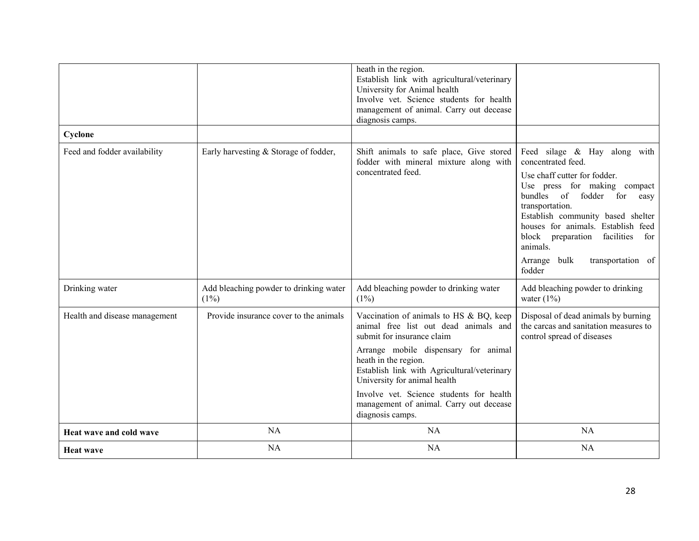|                               |                                                   | heath in the region.<br>Establish link with agricultural/veterinary<br>University for Animal health<br>Involve vet. Science students for health<br>management of animal. Carry out decease<br>diagnosis camps.                                                                                                                                                           |                                                                                                                                                                                                                                                                                                                                                           |
|-------------------------------|---------------------------------------------------|--------------------------------------------------------------------------------------------------------------------------------------------------------------------------------------------------------------------------------------------------------------------------------------------------------------------------------------------------------------------------|-----------------------------------------------------------------------------------------------------------------------------------------------------------------------------------------------------------------------------------------------------------------------------------------------------------------------------------------------------------|
| Cyclone                       |                                                   |                                                                                                                                                                                                                                                                                                                                                                          |                                                                                                                                                                                                                                                                                                                                                           |
| Feed and fodder availability  | Early harvesting & Storage of fodder,             | Shift animals to safe place, Give stored<br>fodder with mineral mixture along with<br>concentrated feed.                                                                                                                                                                                                                                                                 | Feed silage & Hay along with<br>concentrated feed.<br>Use chaff cutter for fodder.<br>Use press for making compact<br>bundles of fodder for<br>easy<br>transportation.<br>Establish community based shelter<br>houses for animals. Establish feed<br>block preparation<br>facilities<br>for<br>animals.<br>Arrange<br>bulk<br>transportation of<br>fodder |
| Drinking water                | Add bleaching powder to drinking water<br>$(1\%)$ | Add bleaching powder to drinking water<br>$(1\%)$                                                                                                                                                                                                                                                                                                                        | Add bleaching powder to drinking<br>water $(1\%)$                                                                                                                                                                                                                                                                                                         |
| Health and disease management | Provide insurance cover to the animals            | Vaccination of animals to HS & BQ, keep<br>animal free list out dead animals and<br>submit for insurance claim<br>Arrange mobile dispensary for animal<br>heath in the region.<br>Establish link with Agricultural/veterinary<br>University for animal health<br>Involve vet. Science students for health<br>management of animal. Carry out decease<br>diagnosis camps. | Disposal of dead animals by burning<br>the carcas and sanitation measures to<br>control spread of diseases                                                                                                                                                                                                                                                |
| Heat wave and cold wave       | <b>NA</b>                                         | NA                                                                                                                                                                                                                                                                                                                                                                       | <b>NA</b>                                                                                                                                                                                                                                                                                                                                                 |
| <b>Heat wave</b>              | <b>NA</b>                                         | <b>NA</b>                                                                                                                                                                                                                                                                                                                                                                | <b>NA</b>                                                                                                                                                                                                                                                                                                                                                 |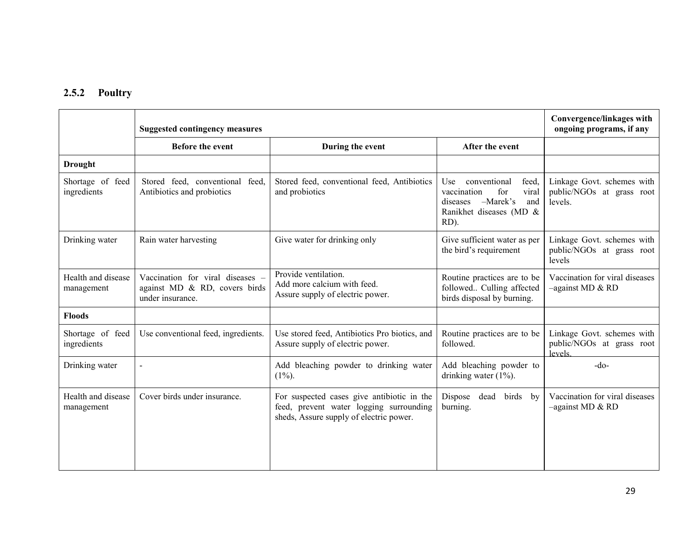## 2.5.2 Poultry

|                                  | <b>Suggested contingency measures</b>                                                 | Convergence/linkages with<br>ongoing programs, if any                                                                            |                                                                                                                                 |                                                                    |
|----------------------------------|---------------------------------------------------------------------------------------|----------------------------------------------------------------------------------------------------------------------------------|---------------------------------------------------------------------------------------------------------------------------------|--------------------------------------------------------------------|
|                                  | Before the event                                                                      | During the event                                                                                                                 | After the event                                                                                                                 |                                                                    |
| <b>Drought</b>                   |                                                                                       |                                                                                                                                  |                                                                                                                                 |                                                                    |
| Shortage of feed<br>ingredients  | Stored feed, conventional feed.<br>Antibiotics and probiotics                         | Stored feed, conventional feed, Antibiotics<br>and probiotics                                                                    | conventional<br>Use<br>feed,<br>viral<br>for<br>vaccination<br>$-Marek's$<br>and<br>diseases<br>Ranikhet diseases (MD &<br>RD). | Linkage Govt. schemes with<br>public/NGOs at grass root<br>levels. |
| Drinking water                   | Rain water harvesting                                                                 | Give water for drinking only                                                                                                     | Give sufficient water as per<br>the bird's requirement                                                                          | Linkage Govt. schemes with<br>public/NGOs at grass root<br>levels  |
| Health and disease<br>management | Vaccination for viral diseases –<br>against MD & RD, covers birds<br>under insurance. | Provide ventilation.<br>Add more calcium with feed.<br>Assure supply of electric power.                                          | Routine practices are to be<br>followed Culling affected<br>birds disposal by burning.                                          | Vaccination for viral diseases<br>$-$ against MD & RD              |
| <b>Floods</b>                    |                                                                                       |                                                                                                                                  |                                                                                                                                 |                                                                    |
| Shortage of feed<br>ingredients  | Use conventional feed, ingredients.                                                   | Use stored feed, Antibiotics Pro biotics, and<br>Assure supply of electric power.                                                | Routine practices are to be<br>followed.                                                                                        | Linkage Govt. schemes with<br>public/NGOs at grass root<br>levels  |
| Drinking water                   | $\overline{a}$                                                                        | Add bleaching powder to drinking water<br>$(1\%)$ .                                                                              | Add bleaching powder to<br>drinking water $(1\%)$ .                                                                             | $-do-$                                                             |
| Health and disease<br>management | Cover birds under insurance.                                                          | For suspected cases give antibiotic in the<br>feed, prevent water logging surrounding<br>sheds, Assure supply of electric power. | Dispose<br>dead<br>birds by<br>burning.                                                                                         | Vaccination for viral diseases<br>$-$ against MD & RD              |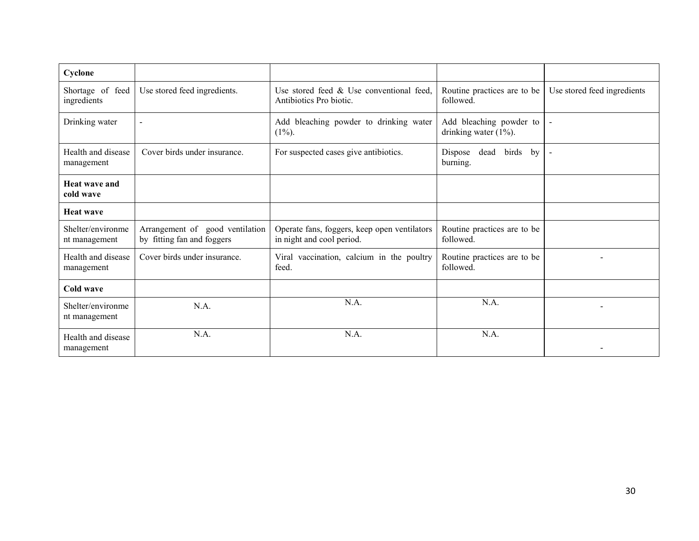| Cyclone                            |                                                               |                                                                           |                                                     |                             |
|------------------------------------|---------------------------------------------------------------|---------------------------------------------------------------------------|-----------------------------------------------------|-----------------------------|
| Shortage of feed<br>ingredients    | Use stored feed ingredients.                                  | Use stored feed $\&$ Use conventional feed,<br>Antibiotics Pro biotic.    | Routine practices are to be<br>followed.            | Use stored feed ingredients |
| Drinking water                     | $\blacksquare$                                                | Add bleaching powder to drinking water<br>$(1\%)$ .                       | Add bleaching powder to<br>drinking water $(1\%)$ . |                             |
| Health and disease<br>management   | Cover birds under insurance.                                  | For suspected cases give antibiotics.                                     | dead<br>birds by<br>Dispose<br>burning.             | $\blacksquare$              |
| <b>Heat wave and</b><br>cold wave  |                                                               |                                                                           |                                                     |                             |
| <b>Heat wave</b>                   |                                                               |                                                                           |                                                     |                             |
| Shelter/environme<br>nt management | Arrangement of good ventilation<br>by fitting fan and foggers | Operate fans, foggers, keep open ventilators<br>in night and cool period. | Routine practices are to be<br>followed.            |                             |
| Health and disease<br>management   | Cover birds under insurance.                                  | Viral vaccination, calcium in the poultry<br>feed.                        | Routine practices are to be<br>followed.            |                             |
| Cold wave                          |                                                               |                                                                           |                                                     |                             |
| Shelter/environme<br>nt management | N.A.                                                          | N.A.                                                                      | N.A.                                                |                             |
| Health and disease<br>management   | N.A.                                                          | N.A.                                                                      | N.A.                                                |                             |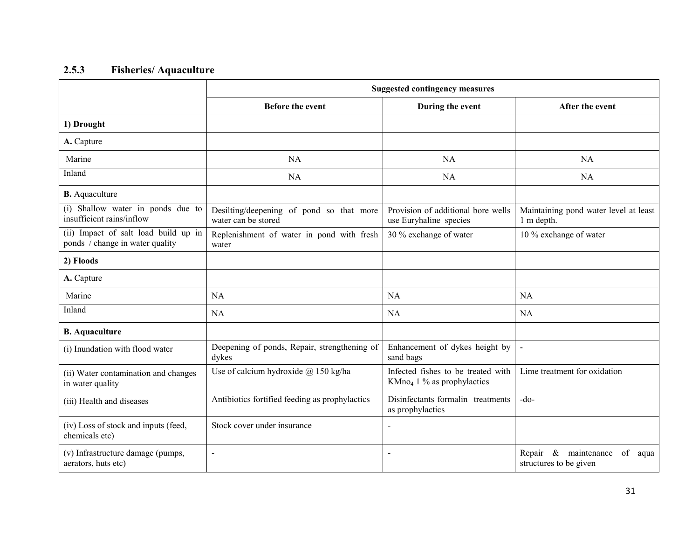#### 2.5.3Fisheries/ Aquaculture

|                                                                         | <b>Suggested contingency measures</b>                           |                                                                              |                                                              |  |
|-------------------------------------------------------------------------|-----------------------------------------------------------------|------------------------------------------------------------------------------|--------------------------------------------------------------|--|
|                                                                         | <b>Before the event</b>                                         | During the event                                                             | After the event                                              |  |
| 1) Drought                                                              |                                                                 |                                                                              |                                                              |  |
| A. Capture                                                              |                                                                 |                                                                              |                                                              |  |
| Marine                                                                  | NA                                                              | <b>NA</b>                                                                    | <b>NA</b>                                                    |  |
| Inland                                                                  | <b>NA</b>                                                       | <b>NA</b>                                                                    | <b>NA</b>                                                    |  |
| <b>B.</b> Aquaculture                                                   |                                                                 |                                                                              |                                                              |  |
| (i) Shallow water in ponds due to<br>insufficient rains/inflow          | Desilting/deepening of pond so that more<br>water can be stored | Provision of additional bore wells<br>use Euryhaline species                 | Maintaining pond water level at least<br>1 m depth.          |  |
| (ii) Impact of salt load build up in<br>ponds / change in water quality | Replenishment of water in pond with fresh<br>water              | 30 % exchange of water                                                       | 10 % exchange of water                                       |  |
| 2) Floods                                                               |                                                                 |                                                                              |                                                              |  |
| A. Capture                                                              |                                                                 |                                                                              |                                                              |  |
| Marine                                                                  | NA                                                              | NA                                                                           | <b>NA</b>                                                    |  |
| Inland                                                                  | <b>NA</b>                                                       | <b>NA</b>                                                                    | <b>NA</b>                                                    |  |
| <b>B.</b> Aquaculture                                                   |                                                                 |                                                                              |                                                              |  |
| (i) Inundation with flood water                                         | Deepening of ponds, Repair, strengthening of<br>dykes           |                                                                              | $\bar{\phantom{a}}$                                          |  |
| (ii) Water contamination and changes<br>in water quality                | Use of calcium hydroxide $@$ 150 kg/ha                          | Infected fishes to be treated with<br>KMno <sub>4</sub> 1 % as prophylactics | Lime treatment for oxidation                                 |  |
| (iii) Health and diseases                                               | Antibiotics fortified feeding as prophylactics                  | Disinfectants formalin treatments<br>as prophylactics                        | $-do-$                                                       |  |
| (iv) Loss of stock and inputs (feed,<br>chemicals etc)                  | Stock cover under insurance                                     |                                                                              |                                                              |  |
| (v) Infrastructure damage (pumps,<br>aerators, huts etc)                | $\overline{a}$                                                  | $\overline{a}$                                                               | Repair & maintenance<br>of<br>aqua<br>structures to be given |  |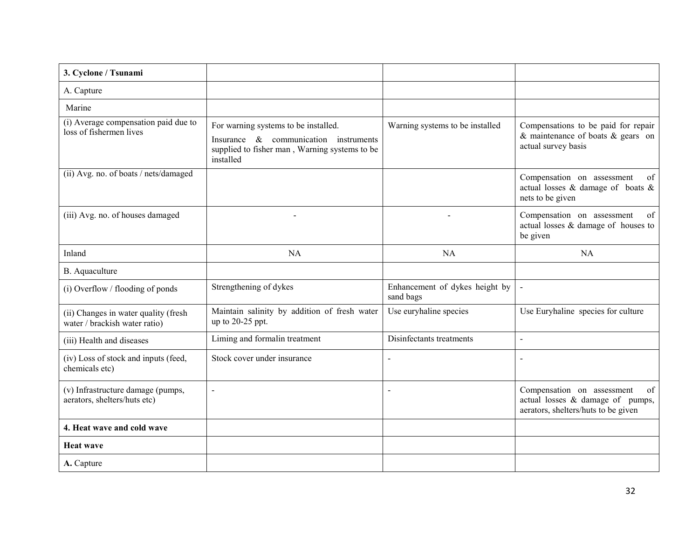| 3. Cyclone / Tsunami                                                  |                                                                                                                                             |                                             |                                                                                                             |
|-----------------------------------------------------------------------|---------------------------------------------------------------------------------------------------------------------------------------------|---------------------------------------------|-------------------------------------------------------------------------------------------------------------|
| A. Capture                                                            |                                                                                                                                             |                                             |                                                                                                             |
| Marine                                                                |                                                                                                                                             |                                             |                                                                                                             |
| (i) Average compensation paid due to<br>loss of fishermen lives       | For warning systems to be installed.<br>Insurance & communication instruments<br>supplied to fisher man, Warning systems to be<br>installed | Warning systems to be installed             | Compensations to be paid for repair<br>& maintenance of boats $&$ gears on<br>actual survey basis           |
| (ii) Avg. no. of boats / nets/damaged                                 |                                                                                                                                             |                                             | Compensation on assessment<br>of<br>actual losses $\&$ damage of boats $\&$<br>nets to be given             |
| (iii) Avg. no. of houses damaged                                      |                                                                                                                                             |                                             | Compensation on assessment<br>of<br>actual losses & damage of houses to<br>be given                         |
| Inland                                                                | <b>NA</b>                                                                                                                                   | <b>NA</b>                                   | <b>NA</b>                                                                                                   |
| B. Aquaculture                                                        |                                                                                                                                             |                                             |                                                                                                             |
| (i) Overflow / flooding of ponds                                      | Strengthening of dykes                                                                                                                      | Enhancement of dykes height by<br>sand bags |                                                                                                             |
| (ii) Changes in water quality (fresh<br>water / brackish water ratio) | Maintain salinity by addition of fresh water<br>up to 20-25 ppt.                                                                            |                                             | Use Euryhaline species for culture                                                                          |
| (iii) Health and diseases                                             | Liming and formalin treatment                                                                                                               | Disinfectants treatments                    |                                                                                                             |
| (iv) Loss of stock and inputs (feed,<br>chemicals etc)                | Stock cover under insurance                                                                                                                 |                                             | $\blacksquare$                                                                                              |
| (v) Infrastructure damage (pumps,<br>aerators, shelters/huts etc)     |                                                                                                                                             |                                             | Compensation on assessment<br>of<br>actual losses & damage of pumps,<br>aerators, shelters/huts to be given |
| 4. Heat wave and cold wave                                            |                                                                                                                                             |                                             |                                                                                                             |
| <b>Heat wave</b>                                                      |                                                                                                                                             |                                             |                                                                                                             |
| A. Capture                                                            |                                                                                                                                             |                                             |                                                                                                             |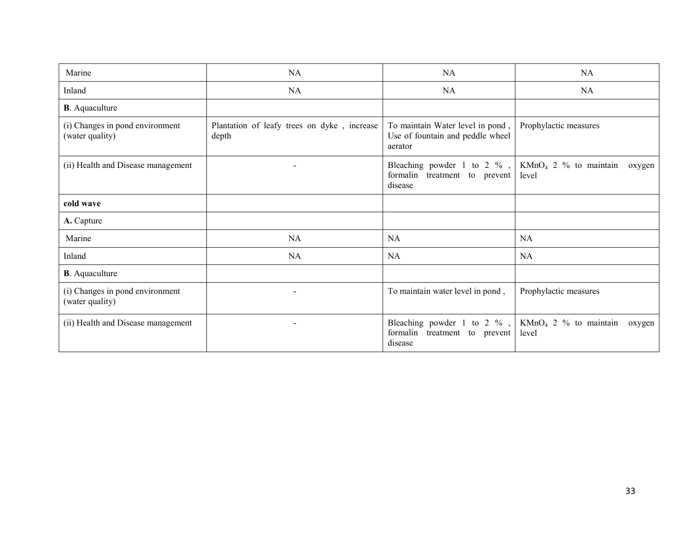| Marine                                                                         | <b>NA</b>                                            | <b>NA</b>                                                                       | <b>NA</b>                                  |  |
|--------------------------------------------------------------------------------|------------------------------------------------------|---------------------------------------------------------------------------------|--------------------------------------------|--|
| Inland                                                                         | <b>NA</b>                                            | <b>NA</b>                                                                       | NA                                         |  |
| <b>B</b> . Aquaculture                                                         |                                                      |                                                                                 |                                            |  |
| (i) Changes in pond environment<br>(water quality)                             | Plantation of leafy trees on dyke, increase<br>depth | To maintain Water level in pond,<br>Use of fountain and peddle wheel<br>aerator | Prophylactic measures                      |  |
| (ii) Health and Disease management                                             | $\overline{\phantom{0}}$                             | Bleaching powder 1 to 2 $%$ ,<br>formalin treatment to prevent<br>disease       | $KMnO4$ 2 % to maintain<br>oxygen<br>level |  |
| cold wave                                                                      |                                                      |                                                                                 |                                            |  |
| A. Capture                                                                     |                                                      |                                                                                 |                                            |  |
| Marine                                                                         | NA                                                   | <b>NA</b>                                                                       | NA                                         |  |
| Inland                                                                         | NA                                                   | <b>NA</b>                                                                       | NA                                         |  |
| <b>B</b> . Aquaculture                                                         |                                                      |                                                                                 |                                            |  |
| (i) Changes in pond environment<br>$\overline{\phantom{0}}$<br>(water quality) |                                                      | To maintain water level in pond,                                                | Prophylactic measures                      |  |
| (ii) Health and Disease management<br>$\overline{\phantom{0}}$                 |                                                      | Bleaching powder 1 to 2 $%$ ,<br>formalin treatment to prevent<br>disease       | $KMnO4$ 2 % to maintain<br>oxygen<br>level |  |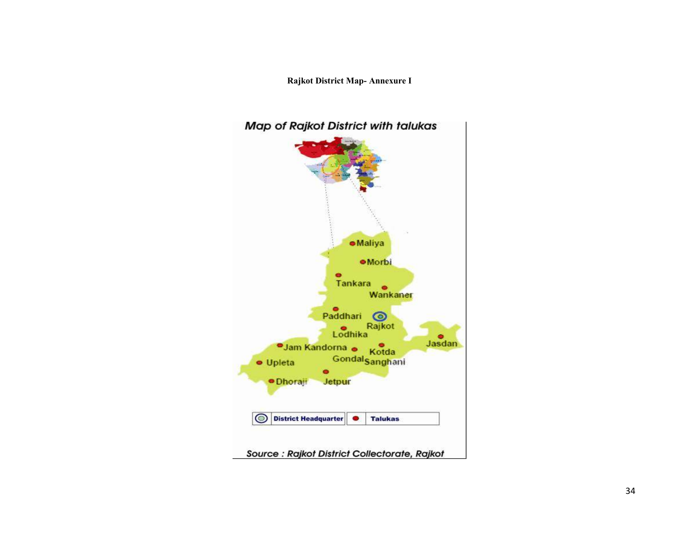Rajkot District Map- Annexure I